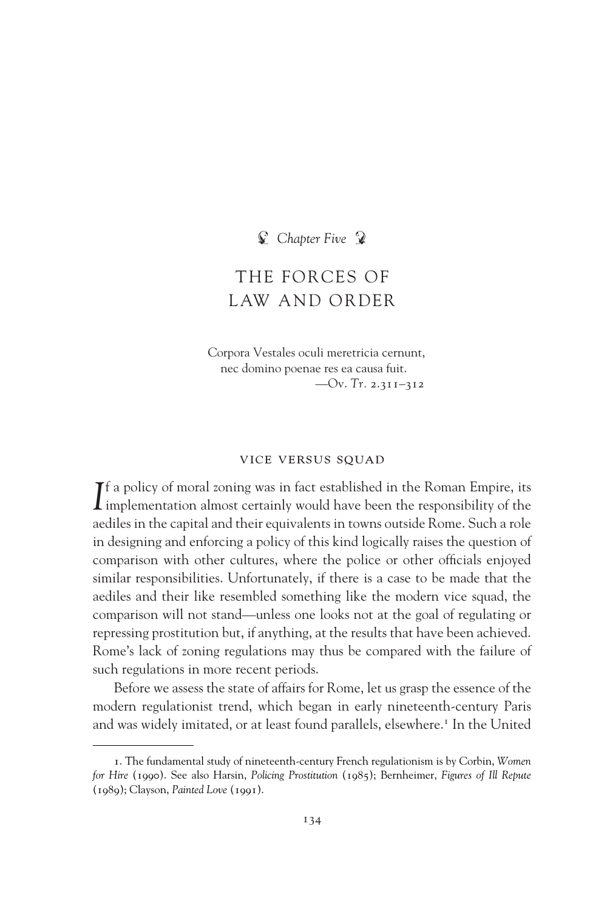# $\mathcal{C}$  Chapter Five  $\mathcal{D}$

## THE FORCES OF LAW AND ORDER

Corpora Vestales oculi meretricia cernunt, nec domino poenae res ea causa fuit. —Ov. *Tr.* 2.311–312

#### vice versus squad

*I*<sup>f</sup> a policy of moral zoning was in fact established in the Roman Empire, its implementation almost certainly would have been the responsibility of the f a policy of moral zoning was in fact established in the Roman Empire, its aediles in the capital and their equivalents in towns outside Rome. Such a role in designing and enforcing a policy of this kind logically raises the question of comparison with other cultures, where the police or other officials enjoyed similar responsibilities. Unfortunately, if there is a case to be made that the aediles and their like resembled something like the modern vice squad, the comparison will not stand—unless one looks not at the goal of regulating or repressing prostitution but, if anything, at the results that have been achieved. Rome's lack of zoning regulations may thus be compared with the failure of such regulations in more recent periods.

Before we assess the state of affairs for Rome, let us grasp the essence of the modern regulationist trend, which began in early nineteenth-century Paris and was widely imitated, or at least found parallels, elsewhere.<sup>1</sup> In the United

<sup>1.</sup> The fundamental study of nineteenth-century French regulationism is by Corbin, *Women for Hire* (1990). See also Harsin, *Policing Prostitution* (1985); Bernheimer, *Figures of Ill Repute* (1989); Clayson, *Painted Love* (1991).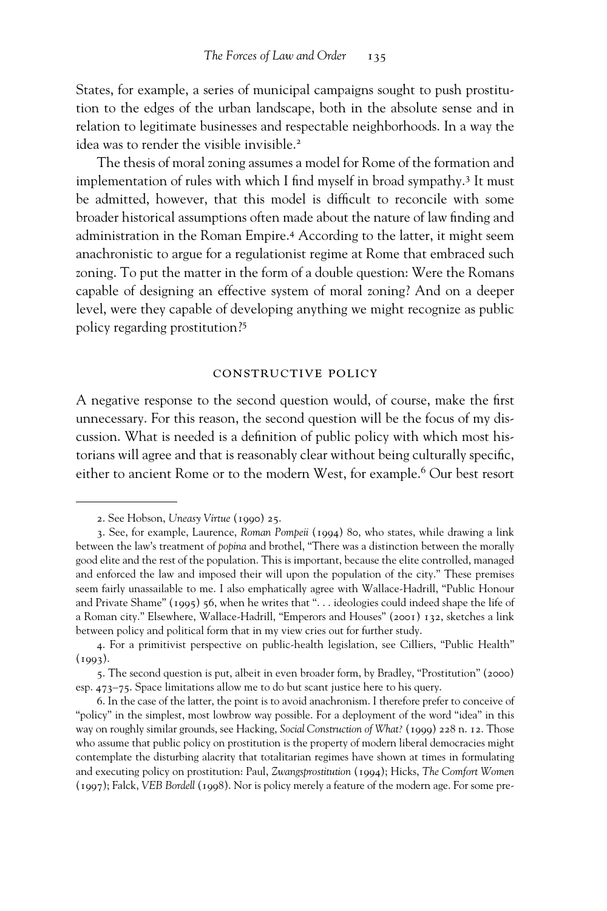States, for example, a series of municipal campaigns sought to push prostitution to the edges of the urban landscape, both in the absolute sense and in relation to legitimate businesses and respectable neighborhoods. In a way the idea was to render the visible invisible.<sup>2</sup>

The thesis of moral zoning assumes a model for Rome of the formation and implementation of rules with which I find myself in broad sympathy.<sup>3</sup> It must be admitted, however, that this model is difficult to reconcile with some broader historical assumptions often made about the nature of law finding and administration in the Roman Empire.4 According to the latter, it might seem anachronistic to argue for a regulationist regime at Rome that embraced such zoning. To put the matter in the form of a double question: Were the Romans capable of designing an effective system of moral zoning? And on a deeper level, were they capable of developing anything we might recognize as public policy regarding prostitution?5

#### constructive policy

A negative response to the second question would, of course, make the first unnecessary. For this reason, the second question will be the focus of my discussion. What is needed is a definition of public policy with which most historians will agree and that is reasonably clear without being culturally specific, either to ancient Rome or to the modern West, for example.<sup>6</sup> Our best resort

<sup>2.</sup> See Hobson, *Uneasy Virtue* (1990) 25.

<sup>3.</sup> See, for example, Laurence, *Roman Pompeii* (1994) 80, who states, while drawing a link between the law's treatment of *popina* and brothel, "There was a distinction between the morally good elite and the rest of the population. This is important, because the elite controlled, managed and enforced the law and imposed their will upon the population of the city." These premises seem fairly unassailable to me. I also emphatically agree with Wallace-Hadrill, "Public Honour and Private Shame" (1995) 56, when he writes that ". . . ideologies could indeed shape the life of a Roman city." Elsewhere, Wallace-Hadrill, "Emperors and Houses" (2001) 132, sketches a link between policy and political form that in my view cries out for further study.

<sup>4.</sup> For a primitivist perspective on public-health legislation, see Cilliers, "Public Health"  $(1993)$ .

<sup>5.</sup> The second question is put, albeit in even broader form, by Bradley, "Prostitution" (2000) esp. 473–75. Space limitations allow me to do but scant justice here to his query.

<sup>6.</sup> In the case of the latter, the point is to avoid anachronism. I therefore prefer to conceive of "policy" in the simplest, most lowbrow way possible. For a deployment of the word "idea" in this way on roughly similar grounds, see Hacking, *Social Construction of What?* (1999) 228 n. 12. Those who assume that public policy on prostitution is the property of modern liberal democracies might contemplate the disturbing alacrity that totalitarian regimes have shown at times in formulating and executing policy on prostitution: Paul, *Zwangsprostitution* (1994); Hicks, *The Comfort Women* (1997); Falck, *VEB Bordell* (1998). Nor is policy merely a feature of the modern age. For some pre-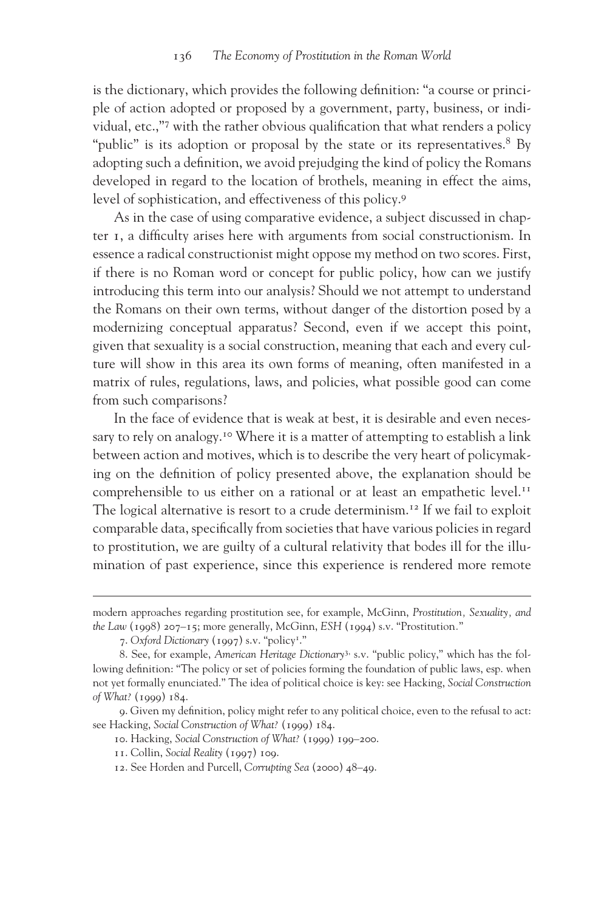is the dictionary, which provides the following definition: "a course or principle of action adopted or proposed by a government, party, business, or individual, etc.,"7 with the rather obvious qualification that what renders a policy "public" is its adoption or proposal by the state or its representatives.<sup>8</sup> By adopting such a definition, we avoid prejudging the kind of policy the Romans developed in regard to the location of brothels, meaning in effect the aims, level of sophistication, and effectiveness of this policy.9

As in the case of using comparative evidence, a subject discussed in chapter 1, a difficulty arises here with arguments from social constructionism. In essence a radical constructionist might oppose my method on two scores. First, if there is no Roman word or concept for public policy, how can we justify introducing this term into our analysis? Should we not attempt to understand the Romans on their own terms, without danger of the distortion posed by a modernizing conceptual apparatus? Second, even if we accept this point, given that sexuality is a social construction, meaning that each and every culture will show in this area its own forms of meaning, often manifested in a matrix of rules, regulations, laws, and policies, what possible good can come from such comparisons?

In the face of evidence that is weak at best, it is desirable and even necessary to rely on analogy.<sup>10</sup> Where it is a matter of attempting to establish a link between action and motives, which is to describe the very heart of policymaking on the definition of policy presented above, the explanation should be comprehensible to us either on a rational or at least an empathetic level.<sup>11</sup> The logical alternative is resort to a crude determinism.<sup>12</sup> If we fail to exploit comparable data, specifically from societies that have various policies in regard to prostitution, we are guilty of a cultural relativity that bodes ill for the illumination of past experience, since this experience is rendered more remote

modern approaches regarding prostitution see, for example, McGinn, *Prostitution, Sexuality, and the Law* (1998) 207–15; more generally, McGinn, *ESH* (1994) s.v. "Prostitution*.*"

<sup>7.</sup> *Oxford Dictionary* (1997) s.v. "policy1."

<sup>8.</sup> See, for example, *American Heritage Dictionary*3, s.v. "public policy," which has the following definition: "The policy or set of policies forming the foundation of public laws, esp. when not yet formally enunciated." The idea of political choice is key: see Hacking, *Social Construction of What?* (1999) 184.

<sup>9.</sup> Given my definition, policy might refer to any political choice, even to the refusal to act: see Hacking, *Social Construction of What?* (1999) 184.

<sup>10.</sup> Hacking, *Social Construction of What?* (1999) 199–200.

<sup>11.</sup> Collin, *Social Reality* (1997) 109.

<sup>12.</sup> See Horden and Purcell, *Corrupting Sea* (2000) 48–49.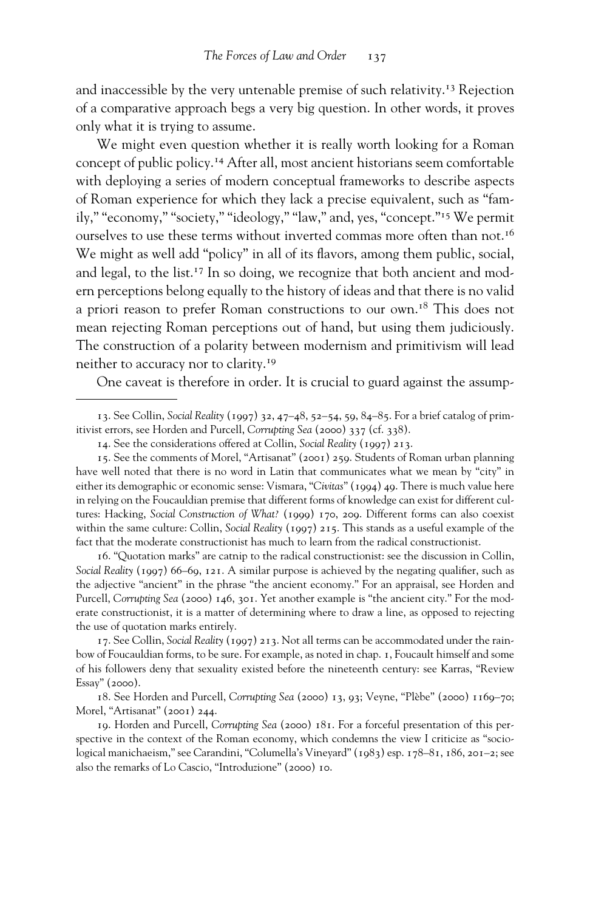and inaccessible by the very untenable premise of such relativity.13 Rejection of a comparative approach begs a very big question. In other words, it proves only what it is trying to assume.

We might even question whether it is really worth looking for a Roman concept of public policy.14 After all, most ancient historians seem comfortable with deploying a series of modern conceptual frameworks to describe aspects of Roman experience for which they lack a precise equivalent, such as "family," "economy," "society," "ideology," "law," and, yes, "concept."15 We permit ourselves to use these terms without inverted commas more often than not.<sup>16</sup> We might as well add "policy" in all of its flavors, among them public, social, and legal, to the list.<sup>17</sup> In so doing, we recognize that both ancient and modern perceptions belong equally to the history of ideas and that there is no valid a priori reason to prefer Roman constructions to our own.18 This does not mean rejecting Roman perceptions out of hand, but using them judiciously. The construction of a polarity between modernism and primitivism will lead neither to accuracy nor to clarity.19

One caveat is therefore in order. It is crucial to guard against the assump-

16. "Quotation marks" are catnip to the radical constructionist: see the discussion in Collin, *Social Reality* (1997) 66–69, 121. A similar purpose is achieved by the negating qualifier, such as the adjective "ancient" in the phrase "the ancient economy." For an appraisal, see Horden and Purcell, *Corrupting Sea* (2000) 146, 301. Yet another example is "the ancient city." For the moderate constructionist, it is a matter of determining where to draw a line, as opposed to rejecting the use of quotation marks entirely.

17. See Collin, *Social Reality* (1997) 213. Not all terms can be accommodated under the rainbow of Foucauldian forms, to be sure. For example, as noted in chap. 1, Foucault himself and some of his followers deny that sexuality existed before the nineteenth century: see Karras, "Review Essay" (2000).

18. See Horden and Purcell, *Corrupting Sea* (2000) 13, 93; Veyne, "Plèbe" (2000) 1169–70; Morel, "Artisanat" (2001) 244.

<sup>13.</sup> See Collin, *Social Reality* (1997) 32, 47–48, 52–54, 59, 84–85. For a brief catalog of primitivist errors, see Horden and Purcell, *Corrupting Sea* (2000) 337 (cf. 338).

<sup>14.</sup> See the considerations offered at Collin, *Social Reality* (1997) 213.

<sup>15.</sup> See the comments of Morel, "Artisanat" (2001) 259. Students of Roman urban planning have well noted that there is no word in Latin that communicates what we mean by "city" in either its demographic or economic sense: Vismara, "*Civitas*" (1994) 49. There is much value here in relying on the Foucauldian premise that different forms of knowledge can exist for different cultures: Hacking, *Social Construction of What?* (1999) 170, 209. Different forms can also coexist within the same culture: Collin, *Social Reality* (1997) 215. This stands as a useful example of the fact that the moderate constructionist has much to learn from the radical constructionist.

<sup>19.</sup> Horden and Purcell, *Corrupting Sea* (2000) 181. For a forceful presentation of this perspective in the context of the Roman economy, which condemns the view I criticize as "sociological manichaeism," see Carandini, "Columella's Vineyard" (1983) esp. 178–81, 186, 201–2; see also the remarks of Lo Cascio, "Introduzione" (2000) 10.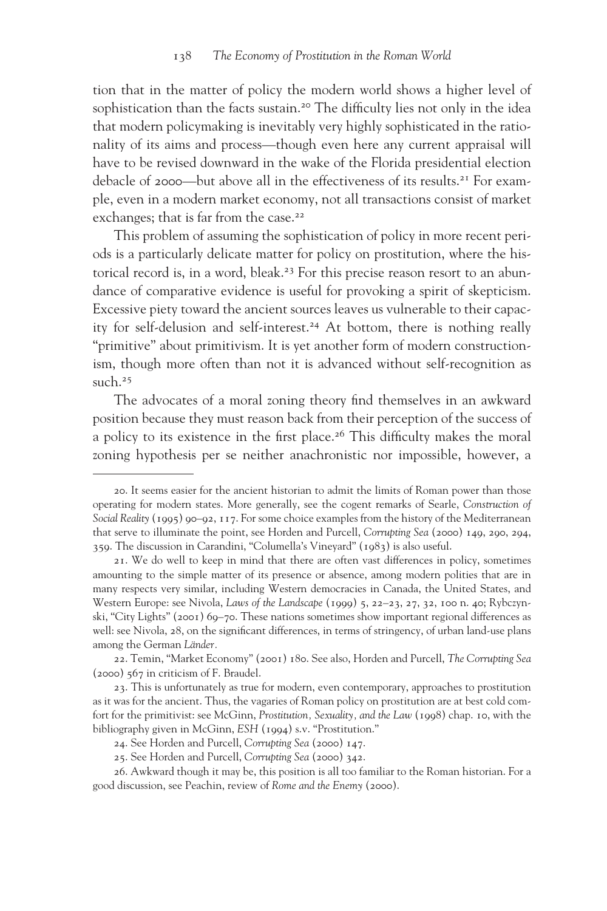tion that in the matter of policy the modern world shows a higher level of sophistication than the facts sustain.<sup>20</sup> The difficulty lies not only in the idea that modern policymaking is inevitably very highly sophisticated in the rationality of its aims and process—though even here any current appraisal will have to be revised downward in the wake of the Florida presidential election debacle of 2000—but above all in the effectiveness of its results.<sup>21</sup> For example, even in a modern market economy, not all transactions consist of market exchanges; that is far from the case.<sup>22</sup>

This problem of assuming the sophistication of policy in more recent periods is a particularly delicate matter for policy on prostitution, where the historical record is, in a word, bleak.<sup>23</sup> For this precise reason resort to an abundance of comparative evidence is useful for provoking a spirit of skepticism. Excessive piety toward the ancient sources leaves us vulnerable to their capacity for self-delusion and self-interest.<sup>24</sup> At bottom, there is nothing really "primitive" about primitivism. It is yet another form of modern constructionism, though more often than not it is advanced without self-recognition as such.<sup>25</sup>

The advocates of a moral zoning theory find themselves in an awkward position because they must reason back from their perception of the success of a policy to its existence in the first place.<sup>26</sup> This difficulty makes the moral zoning hypothesis per se neither anachronistic nor impossible, however, a

<sup>20.</sup> It seems easier for the ancient historian to admit the limits of Roman power than those operating for modern states. More generally, see the cogent remarks of Searle, *Construction of Social Reality* (1995) 90–92, 117. For some choice examples from the history of the Mediterranean that serve to illuminate the point, see Horden and Purcell, *Corrupting Sea* (2000) 149, 290, 294, 359. The discussion in Carandini, "Columella's Vineyard" (1983) is also useful.

<sup>21.</sup> We do well to keep in mind that there are often vast differences in policy, sometimes amounting to the simple matter of its presence or absence, among modern polities that are in many respects very similar, including Western democracies in Canada, the United States, and Western Europe: see Nivola, *Laws of the Landscape* (1999) 5, 22–23, 27, 32, 100 n. 40; Rybczynski, "City Lights" (2001) 69–70. These nations sometimes show important regional differences as well: see Nivola, 28, on the significant differences, in terms of stringency, of urban land-use plans among the German *Länder.*

<sup>22.</sup> Temin, "Market Economy" (2001) 180. See also, Horden and Purcell, *The Corrupting Sea* (2000) 567 in criticism of F. Braudel.

<sup>23.</sup> This is unfortunately as true for modern, even contemporary, approaches to prostitution as it was for the ancient. Thus, the vagaries of Roman policy on prostitution are at best cold comfort for the primitivist: see McGinn, *Prostitution, Sexuality, and the Law* (1998) chap. 10, with the bibliography given in McGinn, *ESH* (1994) s.v. "Prostitution."

<sup>24.</sup> See Horden and Purcell, *Corrupting Sea* (2000) 147.

<sup>25.</sup> See Horden and Purcell, *Corrupting Sea* (2000) 342.

<sup>26.</sup> Awkward though it may be, this position is all too familiar to the Roman historian. For a good discussion, see Peachin, review of *Rome and the Enemy* (2000).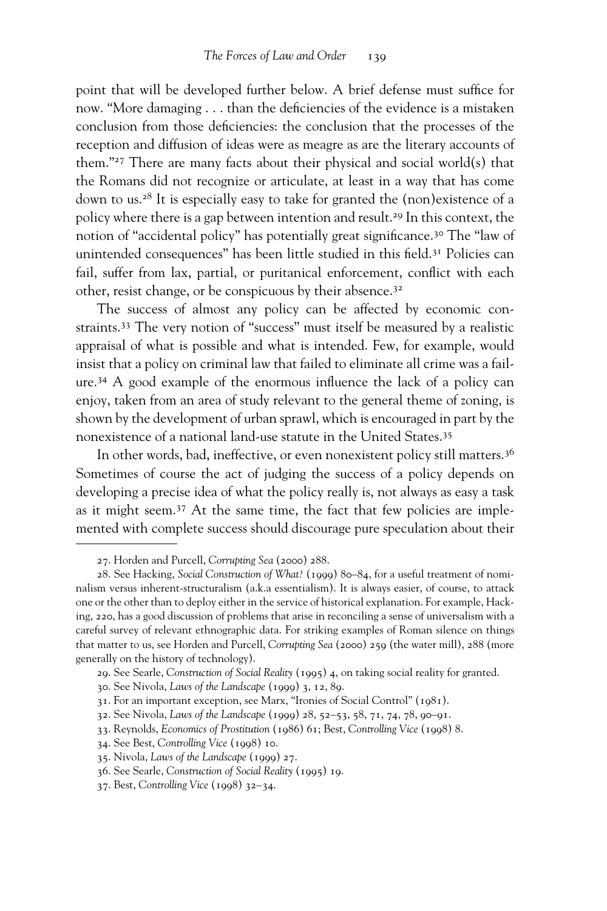point that will be developed further below. A brief defense must suffice for now. "More damaging . . . than the deficiencies of the evidence is a mistaken conclusion from those deficiencies: the conclusion that the processes of the reception and diffusion of ideas were as meagre as are the literary accounts of them."27 There are many facts about their physical and social world(s) that the Romans did not recognize or articulate, at least in a way that has come down to us.<sup>28</sup> It is especially easy to take for granted the (non)existence of a policy where there is a gap between intention and result.<sup>29</sup> In this context, the notion of "accidental policy" has potentially great significance.<sup>30</sup> The "law of unintended consequences" has been little studied in this field.<sup>31</sup> Policies can fail, suffer from lax, partial, or puritanical enforcement, conflict with each other, resist change, or be conspicuous by their absence.32

The success of almost any policy can be affected by economic constraints.33 The very notion of "success" must itself be measured by a realistic appraisal of what is possible and what is intended. Few, for example, would insist that a policy on criminal law that failed to eliminate all crime was a failure.<sup>34</sup> A good example of the enormous influence the lack of a policy can enjoy, taken from an area of study relevant to the general theme of zoning, is shown by the development of urban sprawl, which is encouraged in part by the nonexistence of a national land-use statute in the United States.35

In other words, bad, ineffective, or even nonexistent policy still matters.<sup>36</sup> Sometimes of course the act of judging the success of a policy depends on developing a precise idea of what the policy really is, not always as easy a task as it might seem.37 At the same time, the fact that few policies are implemented with complete success should discourage pure speculation about their

29. See Searle, *Construction of Social Reality* (1995) 4, on taking social reality for granted.

<sup>27.</sup> Horden and Purcell, *Corrupting Sea* (2000) 288.

<sup>28.</sup> See Hacking, *Social Construction of What?* (1999) 80–84, for a useful treatment of nominalism versus inherent-structuralism (a.k.a essentialism). It is always easier, of course, to attack one or the other than to deploy either in the service of historical explanation. For example, Hacking, 220, has a good discussion of problems that arise in reconciling a sense of universalism with a careful survey of relevant ethnographic data. For striking examples of Roman silence on things that matter to us, see Horden and Purcell, *Corrupting Sea* (2000) 259 (the water mill), 288 (more generally on the history of technology).

<sup>30.</sup> See Nivola, *Laws of the Landscape* (1999) 3, 12, 89.

<sup>31.</sup> For an important exception, see Marx, "Ironies of Social Control" (1981).

<sup>32.</sup> See Nivola, *Laws of the Landscape* (1999) 28, 52–53, 58, 71, 74, 78, 90–91.

<sup>33.</sup> Reynolds, *Economics of Prostitution* (1986) 61; Best, *Controlling Vice* (1998) 8.

<sup>34.</sup> See Best, *Controlling Vice* (1998) 10.

<sup>35.</sup> Nivola, *Laws of the Landscape* (1999) 27.

<sup>36.</sup> See Searle, *Construction of Social Reality* (1995) 19.

<sup>37.</sup> Best, *Controlling Vice* (1998) 32–34.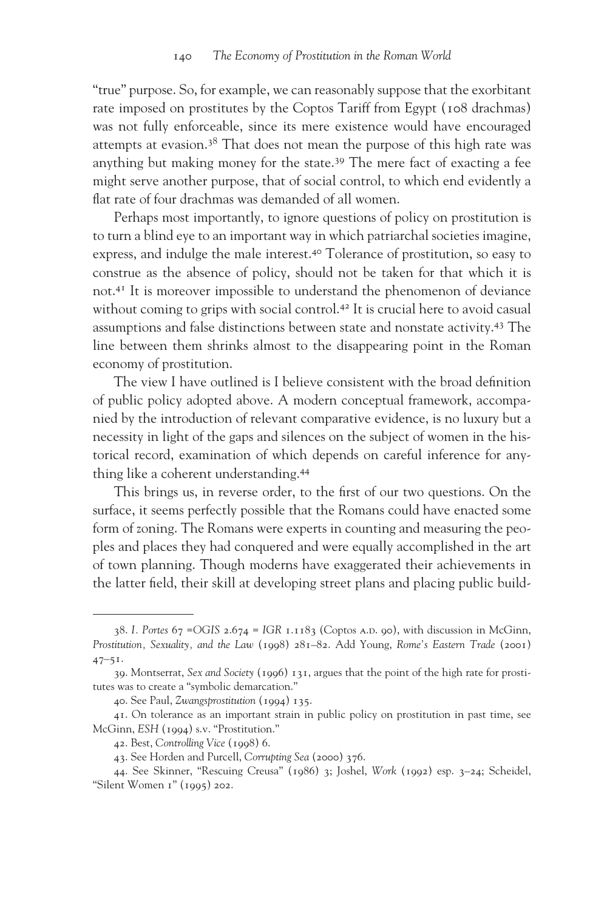"true" purpose. So, for example, we can reasonably suppose that the exorbitant rate imposed on prostitutes by the Coptos Tariff from Egypt (108 drachmas) was not fully enforceable, since its mere existence would have encouraged attempts at evasion.<sup>38</sup> That does not mean the purpose of this high rate was anything but making money for the state.39 The mere fact of exacting a fee might serve another purpose, that of social control, to which end evidently a flat rate of four drachmas was demanded of all women.

Perhaps most importantly, to ignore questions of policy on prostitution is to turn a blind eye to an important way in which patriarchal societies imagine, express, and indulge the male interest.<sup>40</sup> Tolerance of prostitution, so easy to construe as the absence of policy, should not be taken for that which it is not.41 It is moreover impossible to understand the phenomenon of deviance without coming to grips with social control.<sup>42</sup> It is crucial here to avoid casual assumptions and false distinctions between state and nonstate activity.43 The line between them shrinks almost to the disappearing point in the Roman economy of prostitution.

The view I have outlined is I believe consistent with the broad definition of public policy adopted above. A modern conceptual framework, accompanied by the introduction of relevant comparative evidence, is no luxury but a necessity in light of the gaps and silences on the subject of women in the historical record, examination of which depends on careful inference for anything like a coherent understanding.44

This brings us, in reverse order, to the first of our two questions. On the surface, it seems perfectly possible that the Romans could have enacted some form of zoning. The Romans were experts in counting and measuring the peoples and places they had conquered and were equally accomplished in the art of town planning. Though moderns have exaggerated their achievements in the latter field, their skill at developing street plans and placing public build-

<sup>38.</sup> *I. Portes* 67 =*OGIS* 2.674 = *IGR* 1.1183 (Coptos a.d. 90), with discussion in McGinn, *Prostitution, Sexuality, and the Law* (1998) 281–82. Add Young, *Rome's Eastern Trade* (2001) 47–51.

<sup>39.</sup> Montserrat, *Sex and Society* (1996) 131, argues that the point of the high rate for prostitutes was to create a "symbolic demarcation."

<sup>40.</sup> See Paul, *Zwangsprostitution* (1994) 135.

<sup>41.</sup> On tolerance as an important strain in public policy on prostitution in past time, see McGinn, *ESH* (1994) s.v. "Prostitution."

<sup>42.</sup> Best, *Controlling Vice* (1998) 6.

<sup>43.</sup> See Horden and Purcell, *Corrupting Sea* (2000) 376.

<sup>44.</sup> See Skinner, "Rescuing Creusa" (1986) 3; Joshel, *Work* (1992) esp. 3–24; Scheidel, "Silent Women 1" (1995) 202.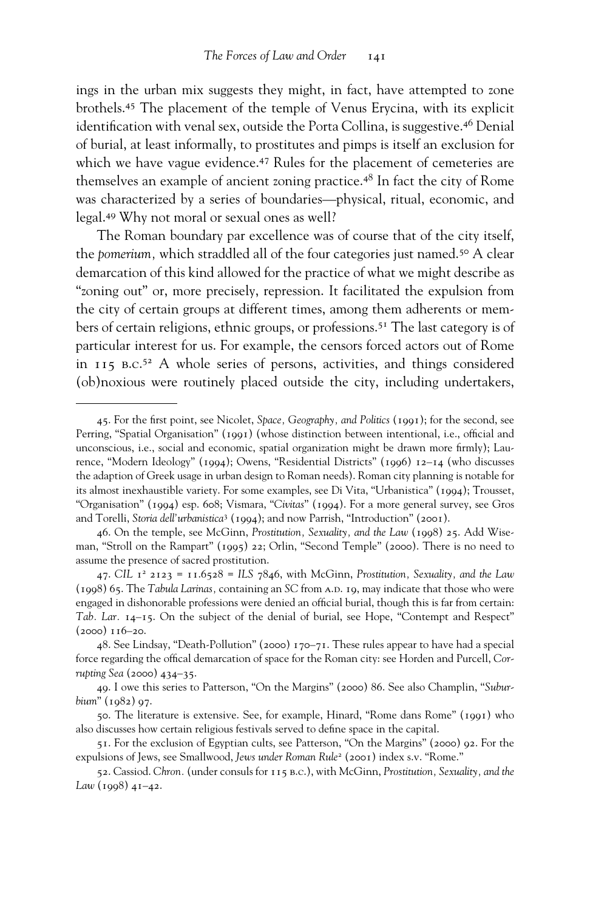ings in the urban mix suggests they might, in fact, have attempted to zone brothels.45 The placement of the temple of Venus Erycina, with its explicit identification with venal sex, outside the Porta Collina, is suggestive.<sup>46</sup> Denial of burial, at least informally, to prostitutes and pimps is itself an exclusion for which we have vague evidence.<sup>47</sup> Rules for the placement of cemeteries are themselves an example of ancient zoning practice.48 In fact the city of Rome was characterized by a series of boundaries—physical, ritual, economic, and legal.49 Why not moral or sexual ones as well?

The Roman boundary par excellence was of course that of the city itself, the *pomerium,* which straddled all of the four categories just named.50 A clear demarcation of this kind allowed for the practice of what we might describe as "zoning out" or, more precisely, repression. It facilitated the expulsion from the city of certain groups at different times, among them adherents or members of certain religions, ethnic groups, or professions.<sup>51</sup> The last category is of particular interest for us. For example, the censors forced actors out of Rome in 115 b.c.<sup>52</sup> A whole series of persons, activities, and things considered (ob)noxious were routinely placed outside the city, including undertakers,

<sup>45.</sup> For the first point, see Nicolet, *Space*, *Geography*, *and Politics* (1991); for the second, see Perring, "Spatial Organisation" (1991) (whose distinction between intentional, i.e., official and unconscious, i.e., social and economic, spatial organization might be drawn more firmly); Laurence, "Modern Ideology" (1994); Owens, "Residential Districts" (1996) 12–14 (who discusses the adaption of Greek usage in urban design to Roman needs). Roman city planning is notable for its almost inexhaustible variety. For some examples, see Di Vita, "Urbanistica" (1994); Trousset, "Organisation" (1994) esp. 608; Vismara, "*Civitas*" (1994). For a more general survey, see Gros and Torelli, *Storia dell'urbanistica*<sup>3</sup> (1994); and now Parrish, "Introduction" (2001).

<sup>46.</sup> On the temple, see McGinn, *Prostitution, Sexuality, and the Law* (1998) 25. Add Wiseman, "Stroll on the Rampart" (1995) 22; Orlin, "Second Temple" (2000). There is no need to assume the presence of sacred prostitution.

<sup>47.</sup> *CIL* 12 2123 = 11.6528 = *ILS* 7846, with McGinn, *Prostitution, Sexuality, and the Law* (1998) 65. The *Tabula Larinas,* containing an *SC* from a.d. 19, may indicate that those who were engaged in dishonorable professions were denied an official burial, though this is far from certain: *Tab. Lar.* 14–15. On the subject of the denial of burial, see Hope, "Contempt and Respect" (2000) 116–20.

<sup>48.</sup> See Lindsay, "Death-Pollution" (2000) 170–71. These rules appear to have had a special force regarding the offical demarcation of space for the Roman city: see Horden and Purcell, *Corrupting Sea* (2000) 434–35.

<sup>49.</sup> I owe this series to Patterson, "On the Margins" (2000) 86. See also Champlin, "*Suburbium*" (1982) 97.

<sup>50.</sup> The literature is extensive. See, for example, Hinard, "Rome dans Rome" (1991) who also discusses how certain religious festivals served to define space in the capital.

<sup>51.</sup> For the exclusion of Egyptian cults, see Patterson, "On the Margins" (2000) 92. For the expulsions of Jews, see Smallwood, *Jews under Roman Rule*<sup>2</sup> (2001) index s.v. "Rome."

<sup>52.</sup> Cassiod. *Chron.* (under consuls for 115 b.c.), with McGinn, *Prostitution, Sexuality, and the Law* (1998) 41–42.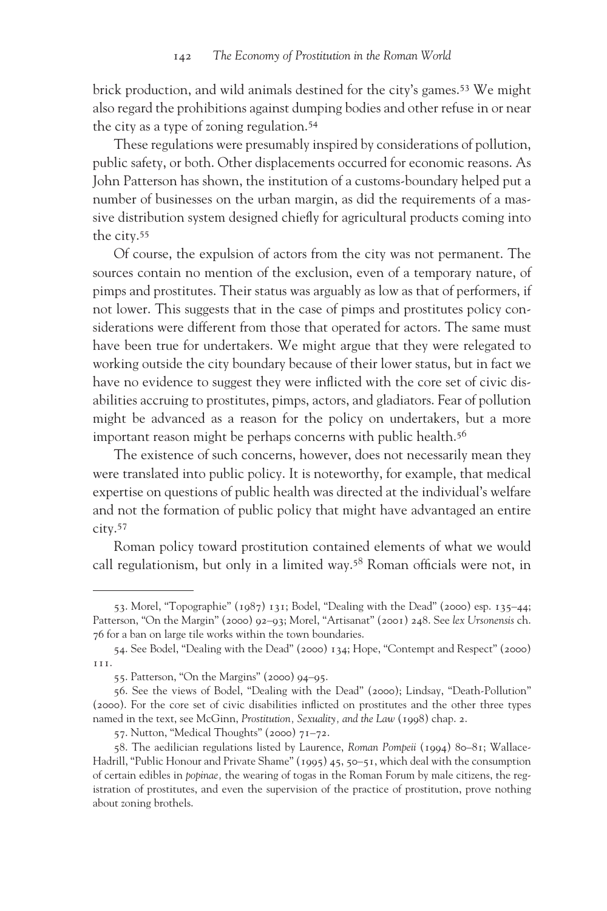brick production, and wild animals destined for the city's games.53 We might also regard the prohibitions against dumping bodies and other refuse in or near the city as a type of zoning regulation.54

These regulations were presumably inspired by considerations of pollution, public safety, or both. Other displacements occurred for economic reasons. As John Patterson has shown, the institution of a customs-boundary helped put a number of businesses on the urban margin, as did the requirements of a massive distribution system designed chiefly for agricultural products coming into the city.55

Of course, the expulsion of actors from the city was not permanent. The sources contain no mention of the exclusion, even of a temporary nature, of pimps and prostitutes. Their status was arguably as low as that of performers, if not lower. This suggests that in the case of pimps and prostitutes policy considerations were different from those that operated for actors. The same must have been true for undertakers. We might argue that they were relegated to working outside the city boundary because of their lower status, but in fact we have no evidence to suggest they were inflicted with the core set of civic disabilities accruing to prostitutes, pimps, actors, and gladiators. Fear of pollution might be advanced as a reason for the policy on undertakers, but a more important reason might be perhaps concerns with public health.<sup>56</sup>

The existence of such concerns, however, does not necessarily mean they were translated into public policy. It is noteworthy, for example, that medical expertise on questions of public health was directed at the individual's welfare and not the formation of public policy that might have advantaged an entire city.57

Roman policy toward prostitution contained elements of what we would call regulationism, but only in a limited way.<sup>58</sup> Roman officials were not, in

<sup>53.</sup> Morel, "Topographie" (1987) 131; Bodel, "Dealing with the Dead" (2000) esp. 135–44; Patterson, "On the Margin" (2000) 92–93; Morel, "Artisanat" (2001) 248. See *lex Ursonensis* ch. 76 for a ban on large tile works within the town boundaries.

<sup>54.</sup> See Bodel, "Dealing with the Dead" (2000) 134; Hope, "Contempt and Respect" (2000) 111.

<sup>55.</sup> Patterson, "On the Margins" (2000) 94–95.

<sup>56.</sup> See the views of Bodel, "Dealing with the Dead" (2000); Lindsay, "Death-Pollution" (2000). For the core set of civic disabilities inflicted on prostitutes and the other three types named in the text, see McGinn, *Prostitution, Sexuality, and the Law* (1998) chap. 2.

<sup>57.</sup> Nutton, "Medical Thoughts" (2000) 71–72.

<sup>58.</sup> The aedilician regulations listed by Laurence, *Roman Pompeii* (1994) 80–81; Wallace-Hadrill, "Public Honour and Private Shame" (1995) 45, 50–51, which deal with the consumption of certain edibles in *popinae,* the wearing of togas in the Roman Forum by male citizens, the registration of prostitutes, and even the supervision of the practice of prostitution, prove nothing about zoning brothels.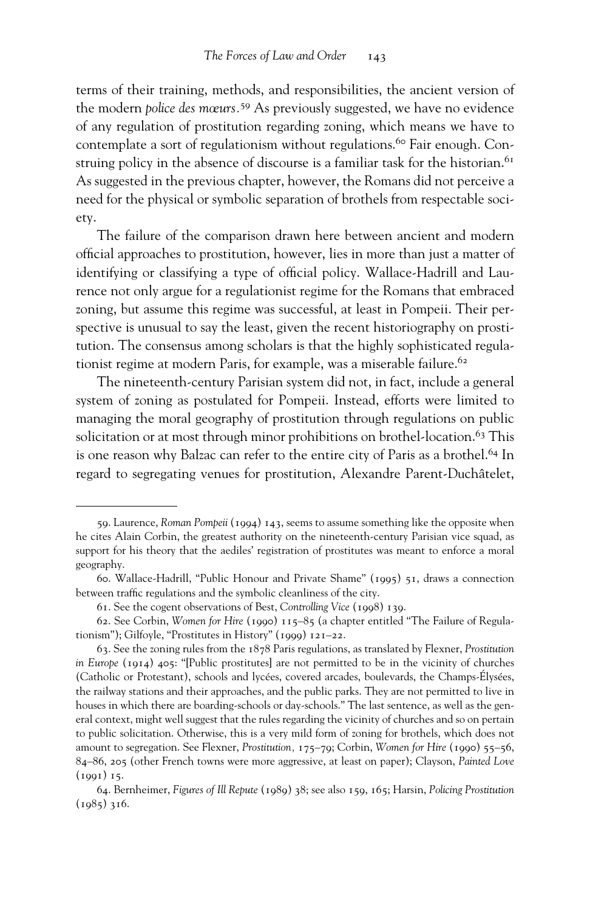terms of their training, methods, and responsibilities, the ancient version of the modern *police des mœurs.*<sup>59</sup> As previously suggested, we have no evidence of any regulation of prostitution regarding zoning, which means we have to contemplate a sort of regulationism without regulations.<sup>60</sup> Fair enough. Construing policy in the absence of discourse is a familiar task for the historian.<sup>61</sup> As suggested in the previous chapter, however, the Romans did not perceive a need for the physical or symbolic separation of brothels from respectable society.

The failure of the comparison drawn here between ancient and modern official approaches to prostitution, however, lies in more than just a matter of identifying or classifying a type of official policy. Wallace-Hadrill and Laurence not only argue for a regulationist regime for the Romans that embraced zoning, but assume this regime was successful, at least in Pompeii. Their perspective is unusual to say the least, given the recent historiography on prostitution. The consensus among scholars is that the highly sophisticated regulationist regime at modern Paris, for example, was a miserable failure.<sup>62</sup>

The nineteenth-century Parisian system did not, in fact, include a general system of zoning as postulated for Pompeii. Instead, efforts were limited to managing the moral geography of prostitution through regulations on public solicitation or at most through minor prohibitions on brothel-location.<sup>63</sup> This is one reason why Balzac can refer to the entire city of Paris as a brothel.<sup>64</sup> In regard to segregating venues for prostitution, Alexandre Parent-Duchâtelet,

<sup>59.</sup> Laurence, *Roman Pompeii* (1994) 143, seems to assume something like the opposite when he cites Alain Corbin, the greatest authority on the nineteenth-century Parisian vice squad, as support for his theory that the aediles' registration of prostitutes was meant to enforce a moral geography.

<sup>60.</sup> Wallace-Hadrill, "Public Honour and Private Shame" (1995) 51, draws a connection between traffic regulations and the symbolic cleanliness of the city.

<sup>61.</sup> See the cogent observations of Best, *Controlling Vice* (1998) 139.

<sup>62.</sup> See Corbin, *Women for Hire* (1990) 115–85 (a chapter entitled "The Failure of Regulationism"); Gilfoyle, "Prostitutes in History" (1999) 121–22.

<sup>63.</sup> See the zoning rules from the 1878 Paris regulations, as translated by Flexner, *Prostitution in Europe* (1914) 405: "[Public prostitutes] are not permitted to be in the vicinity of churches (Catholic or Protestant), schools and lycées, covered arcades, boulevards, the Champs-Élysées, the railway stations and their approaches, and the public parks. They are not permitted to live in houses in which there are boarding-schools or day-schools." The last sentence, as well as the general context, might well suggest that the rules regarding the vicinity of churches and so on pertain to public solicitation. Otherwise, this is a very mild form of zoning for brothels, which does not amount to segregation. See Flexner, *Prostitution,* 175–79; Corbin, *Women for Hire* (1990) 55–56, 84–86, 205 (other French towns were more aggressive, at least on paper); Clayson, *Painted Love* (1991) 15.

<sup>64.</sup> Bernheimer, *Figures of Ill Repute* (1989) 38; see also 159, 165; Harsin, *Policing Prostitution*  $(1985)$  316.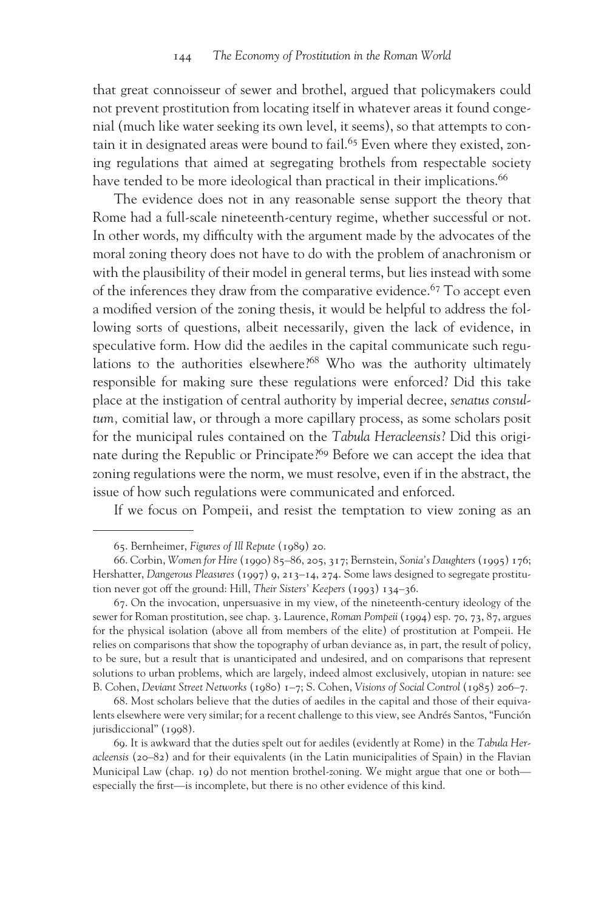that great connoisseur of sewer and brothel, argued that policymakers could not prevent prostitution from locating itself in whatever areas it found congenial (much like water seeking its own level, it seems), so that attempts to contain it in designated areas were bound to fail.<sup>65</sup> Even where they existed, zoning regulations that aimed at segregating brothels from respectable society have tended to be more ideological than practical in their implications.<sup>66</sup>

The evidence does not in any reasonable sense support the theory that Rome had a full-scale nineteenth-century regime, whether successful or not. In other words, my difficulty with the argument made by the advocates of the moral zoning theory does not have to do with the problem of anachronism or with the plausibility of their model in general terms, but lies instead with some of the inferences they draw from the comparative evidence.<sup>67</sup> To accept even a modified version of the zoning thesis, it would be helpful to address the following sorts of questions, albeit necessarily, given the lack of evidence, in speculative form. How did the aediles in the capital communicate such regulations to the authorities elsewhere?<sup>68</sup> Who was the authority ultimately responsible for making sure these regulations were enforced? Did this take place at the instigation of central authority by imperial decree, *senatus consultum,* comitial law, or through a more capillary process, as some scholars posit for the municipal rules contained on the *Tabula Heracleensis*? Did this originate during the Republic or Principate?<sup>69</sup> Before we can accept the idea that zoning regulations were the norm, we must resolve, even if in the abstract, the issue of how such regulations were communicated and enforced.

If we focus on Pompeii, and resist the temptation to view zoning as an

<sup>65.</sup> Bernheimer, *Figures of Ill Repute* (1989) 20.

<sup>66.</sup> Corbin, *Women for Hire* (1990) 85–86, 205, 317; Bernstein, *Sonia's Daughters* (1995) 176; Hershatter, *Dangerous Pleasures* (1997) 9, 213–14, 274. Some laws designed to segregate prostitution never got off the ground: Hill, *Their Sisters' Keepers* (1993) 134–36.

<sup>67.</sup> On the invocation, unpersuasive in my view, of the nineteenth-century ideology of the sewer for Roman prostitution, see chap. 3. Laurence, *Roman Pompeii* (1994) esp. 70, 73, 87, argues for the physical isolation (above all from members of the elite) of prostitution at Pompeii. He relies on comparisons that show the topography of urban deviance as, in part, the result of policy, to be sure, but a result that is unanticipated and undesired, and on comparisons that represent solutions to urban problems, which are largely, indeed almost exclusively, utopian in nature: see B. Cohen, *Deviant Street Networks* (1980) 1–7; S. Cohen, *Visions of Social Control* (1985) 206–7.

<sup>68.</sup> Most scholars believe that the duties of aediles in the capital and those of their equivalents elsewhere were very similar; for a recent challenge to this view, see Andrés Santos, "Función jurisdiccional" (1998).

<sup>69.</sup> It is awkward that the duties spelt out for aediles (evidently at Rome) in the *Tabula Heracleensis* (20–82) and for their equivalents (in the Latin municipalities of Spain) in the Flavian Municipal Law (chap. 19) do not mention brothel-zoning. We might argue that one or both especially the first—is incomplete, but there is no other evidence of this kind.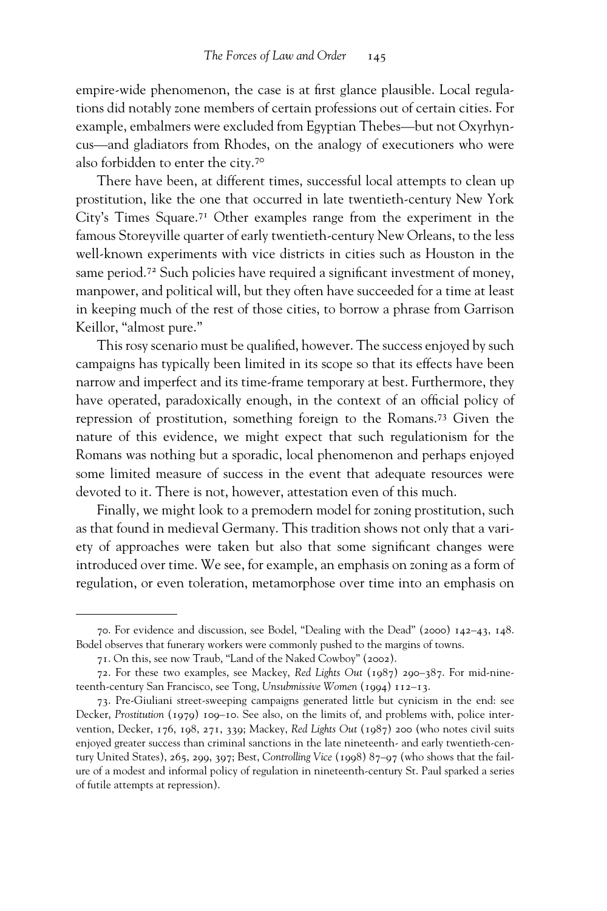empire-wide phenomenon, the case is at first glance plausible. Local regulations did notably zone members of certain professions out of certain cities. For example, embalmers were excluded from Egyptian Thebes—but not Oxyrhyncus—and gladiators from Rhodes, on the analogy of executioners who were also forbidden to enter the city.70

There have been, at different times, successful local attempts to clean up prostitution, like the one that occurred in late twentieth-century New York City's Times Square.71 Other examples range from the experiment in the famous Storeyville quarter of early twentieth-century New Orleans, to the less well-known experiments with vice districts in cities such as Houston in the same period.<sup>72</sup> Such policies have required a significant investment of money, manpower, and political will, but they often have succeeded for a time at least in keeping much of the rest of those cities, to borrow a phrase from Garrison Keillor, "almost pure."

This rosy scenario must be qualified, however. The success enjoyed by such campaigns has typically been limited in its scope so that its effects have been narrow and imperfect and its time-frame temporary at best. Furthermore, they have operated, paradoxically enough, in the context of an official policy of repression of prostitution, something foreign to the Romans.73 Given the nature of this evidence, we might expect that such regulationism for the Romans was nothing but a sporadic, local phenomenon and perhaps enjoyed some limited measure of success in the event that adequate resources were devoted to it. There is not, however, attestation even of this much.

Finally, we might look to a premodern model for zoning prostitution, such as that found in medieval Germany. This tradition shows not only that a variety of approaches were taken but also that some significant changes were introduced over time. We see, for example, an emphasis on zoning as a form of regulation, or even toleration, metamorphose over time into an emphasis on

<sup>70.</sup> For evidence and discussion, see Bodel, "Dealing with the Dead" (2000) 142–43, 148. Bodel observes that funerary workers were commonly pushed to the margins of towns.

<sup>71.</sup> On this, see now Traub, "Land of the Naked Cowboy" (2002).

<sup>72.</sup> For these two examples, see Mackey, *Red Lights Out* (1987) 290–387. For mid-nineteenth-century San Francisco, see Tong, *Unsubmissive Women* (1994) 112–13.

<sup>73.</sup> Pre-Giuliani street-sweeping campaigns generated little but cynicism in the end: see Decker, *Prostitution* (1979) 109–10. See also, on the limits of, and problems with, police intervention, Decker, 176, 198, 271, 339; Mackey, *Red Lights Out* (1987) 200 (who notes civil suits enjoyed greater success than criminal sanctions in the late nineteenth- and early twentieth-century United States), 265, 299, 397; Best, *Controlling Vice* (1998) 87–97 (who shows that the failure of a modest and informal policy of regulation in nineteenth-century St. Paul sparked a series of futile attempts at repression).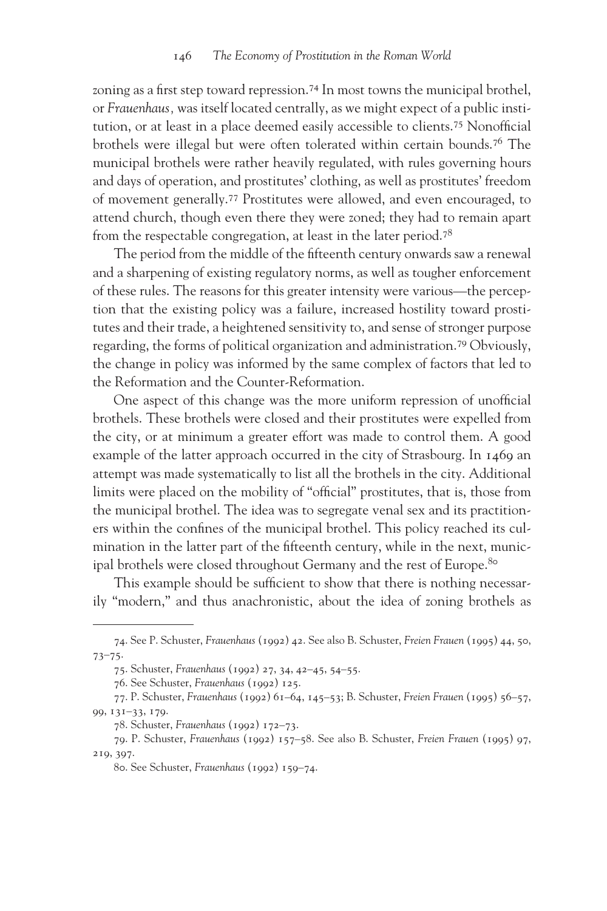zoning as a first step toward repression.<sup>74</sup> In most towns the municipal brothel, or *Frauenhaus,* was itself located centrally, as we might expect of a public institution, or at least in a place deemed easily accessible to clients.<sup>75</sup> Nonofficial brothels were illegal but were often tolerated within certain bounds.76 The municipal brothels were rather heavily regulated, with rules governing hours and days of operation, and prostitutes' clothing, as well as prostitutes' freedom of movement generally.77 Prostitutes were allowed, and even encouraged, to attend church, though even there they were zoned; they had to remain apart from the respectable congregation, at least in the later period.78

The period from the middle of the fifteenth century onwards saw a renewal and a sharpening of existing regulatory norms, as well as tougher enforcement of these rules. The reasons for this greater intensity were various—the perception that the existing policy was a failure, increased hostility toward prostitutes and their trade, a heightened sensitivity to, and sense of stronger purpose regarding, the forms of political organization and administration.79 Obviously, the change in policy was informed by the same complex of factors that led to the Reformation and the Counter-Reformation.

One aspect of this change was the more uniform repression of unofficial brothels. These brothels were closed and their prostitutes were expelled from the city, or at minimum a greater effort was made to control them. A good example of the latter approach occurred in the city of Strasbourg. In 1469 an attempt was made systematically to list all the brothels in the city. Additional limits were placed on the mobility of "official" prostitutes, that is, those from the municipal brothel. The idea was to segregate venal sex and its practitioners within the confines of the municipal brothel. This policy reached its culmination in the latter part of the fifteenth century, while in the next, municipal brothels were closed throughout Germany and the rest of Europe.<sup>80</sup>

This example should be sufficient to show that there is nothing necessarily "modern," and thus anachronistic, about the idea of zoning brothels as

<sup>74.</sup> See P. Schuster, *Frauenhaus* (1992) 42. See also B. Schuster, *Freien Frauen* (1995) 44, 50, 73–75.

<sup>75.</sup> Schuster, *Frauenhaus* (1992) 27, 34, 42–45, 54–55.

<sup>76.</sup> See Schuster, *Frauenhaus* (1992) 125.

<sup>77.</sup> P. Schuster, *Frauenhaus* (1992) 61–64, 145–53; B. Schuster, *Freien Frauen* (1995) 56–57, 99, 131–33, 179.

<sup>78.</sup> Schuster, *Frauenhaus* (1992) 172–73.

<sup>79.</sup> P. Schuster, *Frauenhaus* (1992) 157–58. See also B. Schuster, *Freien Frauen* (1995) 97, 219, 397.

<sup>80.</sup> See Schuster, *Frauenhaus* (1992) 159–74.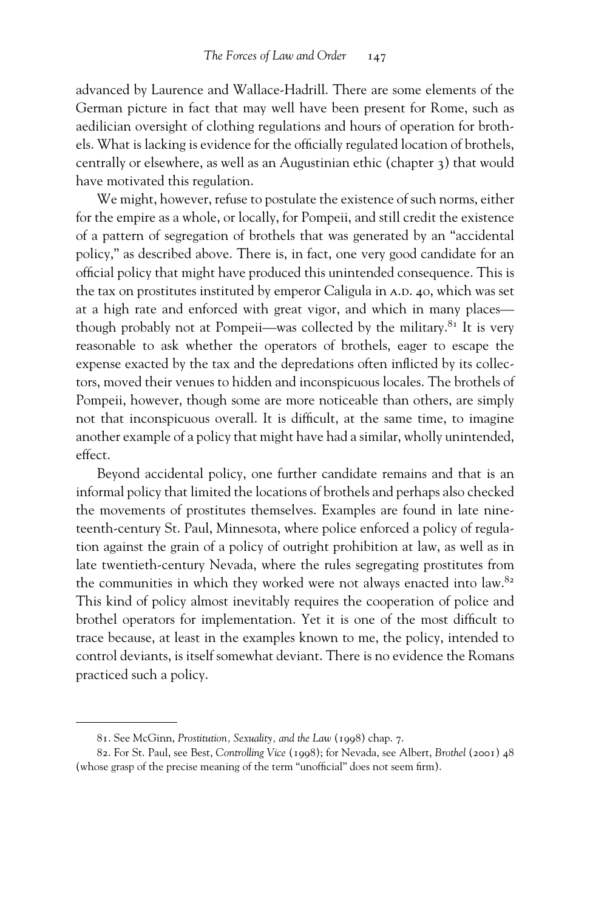advanced by Laurence and Wallace-Hadrill. There are some elements of the German picture in fact that may well have been present for Rome, such as aedilician oversight of clothing regulations and hours of operation for brothels. What is lacking is evidence for the officially regulated location of brothels, centrally or elsewhere, as well as an Augustinian ethic (chapter 3) that would have motivated this regulation.

We might, however, refuse to postulate the existence of such norms, either for the empire as a whole, or locally, for Pompeii, and still credit the existence of a pattern of segregation of brothels that was generated by an "accidental policy," as described above. There is, in fact, one very good candidate for an official policy that might have produced this unintended consequence. This is the tax on prostitutes instituted by emperor Caligula in A.D. 40, which was set at a high rate and enforced with great vigor, and which in many places though probably not at Pompeii—was collected by the military. $81$  It is very reasonable to ask whether the operators of brothels, eager to escape the expense exacted by the tax and the depredations often inflicted by its collectors, moved their venues to hidden and inconspicuous locales. The brothels of Pompeii, however, though some are more noticeable than others, are simply not that inconspicuous overall. It is difficult, at the same time, to imagine another example of a policy that might have had a similar, wholly unintended, effect.

Beyond accidental policy, one further candidate remains and that is an informal policy that limited the locations of brothels and perhaps also checked the movements of prostitutes themselves. Examples are found in late nineteenth-century St. Paul, Minnesota, where police enforced a policy of regulation against the grain of a policy of outright prohibition at law, as well as in late twentieth-century Nevada, where the rules segregating prostitutes from the communities in which they worked were not always enacted into law.<sup>82</sup> This kind of policy almost inevitably requires the cooperation of police and brothel operators for implementation. Yet it is one of the most difficult to trace because, at least in the examples known to me, the policy, intended to control deviants, is itself somewhat deviant. There is no evidence the Romans practiced such a policy.

<sup>81.</sup> See McGinn, *Prostitution, Sexuality, and the Law* (1998) chap. 7.

<sup>82.</sup> For St. Paul, see Best, *Controlling Vice* (1998); for Nevada, see Albert, *Brothel* (2001) 48 (whose grasp of the precise meaning of the term "unofficial" does not seem firm).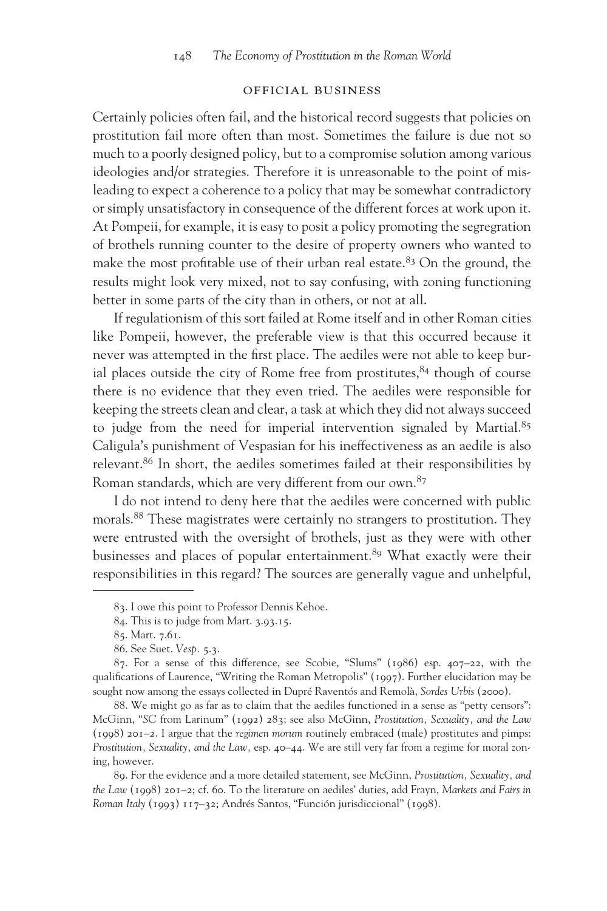#### official business

Certainly policies often fail, and the historical record suggests that policies on prostitution fail more often than most. Sometimes the failure is due not so much to a poorly designed policy, but to a compromise solution among various ideologies and/or strategies. Therefore it is unreasonable to the point of misleading to expect a coherence to a policy that may be somewhat contradictory or simply unsatisfactory in consequence of the different forces at work upon it. At Pompeii, for example, it is easy to posit a policy promoting the segregration of brothels running counter to the desire of property owners who wanted to make the most profitable use of their urban real estate.<sup>83</sup> On the ground, the results might look very mixed, not to say confusing, with zoning functioning better in some parts of the city than in others, or not at all.

If regulationism of this sort failed at Rome itself and in other Roman cities like Pompeii, however, the preferable view is that this occurred because it never was attempted in the first place. The aediles were not able to keep burial places outside the city of Rome free from prostitutes, $84$  though of course there is no evidence that they even tried. The aediles were responsible for keeping the streets clean and clear, a task at which they did not always succeed to judge from the need for imperial intervention signaled by Martial. $85$ Caligula's punishment of Vespasian for his ineffectiveness as an aedile is also relevant.<sup>86</sup> In short, the aediles sometimes failed at their responsibilities by Roman standards, which are very different from our own.<sup>87</sup>

I do not intend to deny here that the aediles were concerned with public morals.88 These magistrates were certainly no strangers to prostitution. They were entrusted with the oversight of brothels, just as they were with other businesses and places of popular entertainment.<sup>89</sup> What exactly were their responsibilities in this regard? The sources are generally vague and unhelpful,

88. We might go as far as to claim that the aediles functioned in a sense as "petty censors": McGinn, "*SC* from Larinum" (1992) 283; see also McGinn, *Prostitution, Sexuality, and the Law* (1998) 201–2. I argue that the *regimen morum* routinely embraced (male) prostitutes and pimps: *Prostitution, Sexuality, and the Law,* esp. 40–44. We are still very far from a regime for moral zoning, however.

<sup>83.</sup> I owe this point to Professor Dennis Kehoe.

<sup>84.</sup> This is to judge from Mart. 3.93.15.

<sup>85.</sup> Mart. 7.61.

<sup>86.</sup> See Suet. *Vesp.* 5.3.

<sup>87.</sup> For a sense of this difference, see Scobie, "Slums" (1986) esp. 407–22, with the qualifications of Laurence, "Writing the Roman Metropolis" (1997). Further elucidation may be sought now among the essays collected in Dupré Raventós and Remolà, *Sordes Urbis* (2000).

<sup>89.</sup> For the evidence and a more detailed statement, see McGinn, *Prostitution, Sexuality, and the Law* (1998) 201–2; cf. 60. To the literature on aediles' duties, add Frayn, *Markets and Fairs in Roman Italy* (1993) 117–32; Andrés Santos, "Función jurisdiccional" (1998).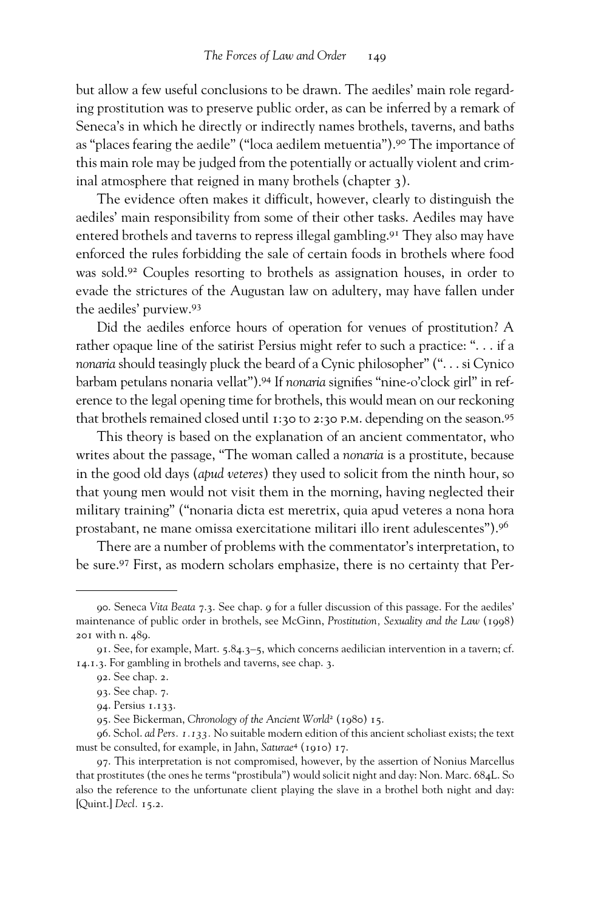but allow a few useful conclusions to be drawn. The aediles' main role regarding prostitution was to preserve public order, as can be inferred by a remark of Seneca's in which he directly or indirectly names brothels, taverns, and baths as "places fearing the aedile" ("loca aedilem metuentia").<sup>90</sup> The importance of this main role may be judged from the potentially or actually violent and criminal atmosphere that reigned in many brothels (chapter 3).

The evidence often makes it difficult, however, clearly to distinguish the aediles' main responsibility from some of their other tasks. Aediles may have entered brothels and taverns to repress illegal gambling.<sup>91</sup> They also may have enforced the rules forbidding the sale of certain foods in brothels where food was sold.<sup>92</sup> Couples resorting to brothels as assignation houses, in order to evade the strictures of the Augustan law on adultery, may have fallen under the aediles' purview.93

Did the aediles enforce hours of operation for venues of prostitution? A rather opaque line of the satirist Persius might refer to such a practice: ". . . if a *nonaria* should teasingly pluck the beard of a Cynic philosopher" (". . . si Cynico barbam petulans nonaria vellat").<sup>94</sup> If nonaria signifies "nine-o'clock girl" in reference to the legal opening time for brothels, this would mean on our reckoning that brothels remained closed until 1:30 to 2:30 P.M. depending on the season.<sup>95</sup>

This theory is based on the explanation of an ancient commentator, who writes about the passage, "The woman called a *nonaria* is a prostitute, because in the good old days (*apud veteres*) they used to solicit from the ninth hour, so that young men would not visit them in the morning, having neglected their military training" ("nonaria dicta est meretrix, quia apud veteres a nona hora prostabant, ne mane omissa exercitatione militari illo irent adulescentes").96

There are a number of problems with the commentator's interpretation, to be sure.97 First, as modern scholars emphasize, there is no certainty that Per-

<sup>90.</sup> Seneca *Vita Beata* 7.3. See chap. 9 for a fuller discussion of this passage. For the aediles' maintenance of public order in brothels, see McGinn, *Prostitution, Sexuality and the Law* (1998) 201 with n. 489.

<sup>91.</sup> See, for example, Mart. 5.84.3–5, which concerns aedilician intervention in a tavern; cf. 14.1.3. For gambling in brothels and taverns, see chap. 3.

<sup>92.</sup> See chap. 2.

<sup>93.</sup> See chap. 7.

<sup>94.</sup> Persius 1.133.

<sup>95.</sup> See Bickerman, *Chronology of the Ancient World*<sup>2</sup> (1980) 15.

<sup>96.</sup> Schol. *ad Pers. 1.133.* No suitable modern edition of this ancient scholiast exists; the text must be consulted, for example, in Jahn, *Saturae*<sup>4</sup> (1910) 17.

<sup>97.</sup> This interpretation is not compromised, however, by the assertion of Nonius Marcellus that prostitutes (the ones he terms "prostibula") would solicit night and day: Non. Marc. 684L. So also the reference to the unfortunate client playing the slave in a brothel both night and day: [Quint.] *Decl.* 15.2.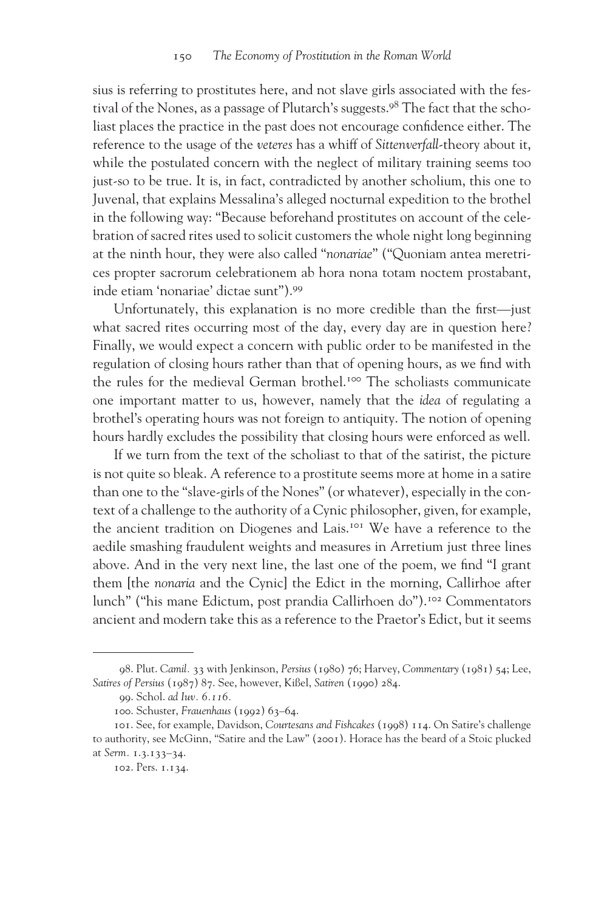sius is referring to prostitutes here, and not slave girls associated with the festival of the Nones, as a passage of Plutarch's suggests.98 The fact that the scholiast places the practice in the past does not encourage confidence either. The reference to the usage of the *veteres* has a whiff of *Sittenverfall*-theory about it, while the postulated concern with the neglect of military training seems too just-so to be true. It is, in fact, contradicted by another scholium, this one to Juvenal, that explains Messalina's alleged nocturnal expedition to the brothel in the following way: "Because beforehand prostitutes on account of the celebration of sacred rites used to solicit customers the whole night long beginning at the ninth hour, they were also called "*nonariae*" ("Quoniam antea meretrices propter sacrorum celebrationem ab hora nona totam noctem prostabant, inde etiam 'nonariae' dictae sunt").99

Unfortunately, this explanation is no more credible than the first—just what sacred rites occurring most of the day, every day are in question here? Finally, we would expect a concern with public order to be manifested in the regulation of closing hours rather than that of opening hours, as we find with the rules for the medieval German brothel.<sup>100</sup> The scholiasts communicate one important matter to us, however, namely that the *idea* of regulating a brothel's operating hours was not foreign to antiquity. The notion of opening hours hardly excludes the possibility that closing hours were enforced as well.

If we turn from the text of the scholiast to that of the satirist, the picture is not quite so bleak. A reference to a prostitute seems more at home in a satire than one to the "slave-girls of the Nones" (or whatever), especially in the context of a challenge to the authority of a Cynic philosopher, given, for example, the ancient tradition on Diogenes and Lais.<sup>101</sup> We have a reference to the aedile smashing fraudulent weights and measures in Arretium just three lines above. And in the very next line, the last one of the poem, we find "I grant them [the *nonaria* and the Cynic] the Edict in the morning, Callirhoe after lunch" ("his mane Edictum, post prandia Callirhoen do").<sup>102</sup> Commentators ancient and modern take this as a reference to the Praetor's Edict, but it seems

<sup>98.</sup> Plut. *Camil.* 33 with Jenkinson, *Persius* (1980) 76; Harvey, *Commentary* (1981) 54; Lee, *Satires of Persius* (1987) 87. See, however, Kißel, *Satiren* (1990) 284.

<sup>99.</sup> Schol. *ad Iuv. 6.116.*

<sup>100.</sup> Schuster, *Frauenhaus* (1992) 63–64.

<sup>101.</sup> See, for example, Davidson, *Courtesans and Fishcakes* (1998) 114. On Satire's challenge to authority, see McGinn, "Satire and the Law" (2001). Horace has the beard of a Stoic plucked at *Serm.* 1.3.133–34.

<sup>102.</sup> Pers. 1.134.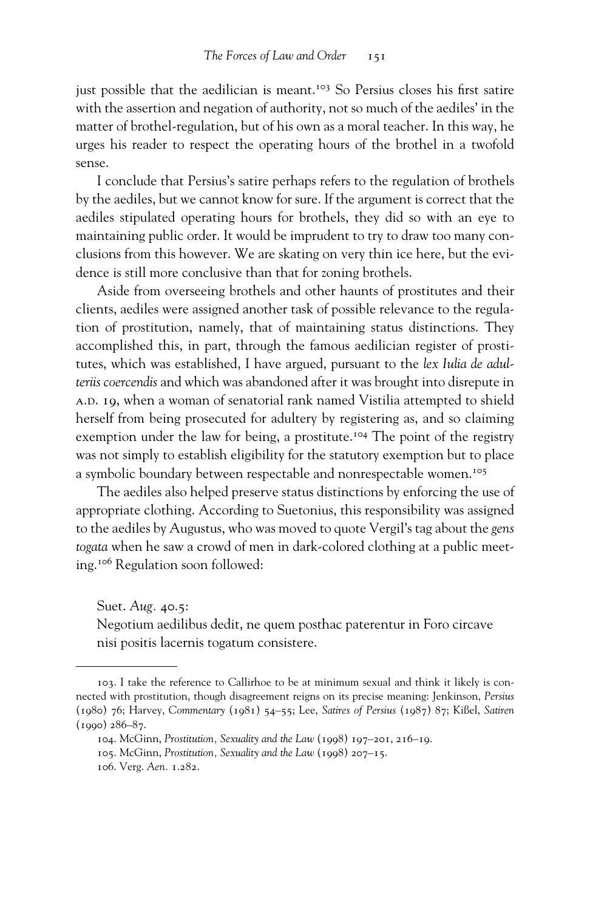just possible that the aedilician is meant.<sup>103</sup> So Persius closes his first satire with the assertion and negation of authority, not so much of the aediles' in the matter of brothel-regulation, but of his own as a moral teacher. In this way, he urges his reader to respect the operating hours of the brothel in a twofold sense.

I conclude that Persius's satire perhaps refers to the regulation of brothels by the aediles, but we cannot know for sure. If the argument is correct that the aediles stipulated operating hours for brothels, they did so with an eye to maintaining public order. It would be imprudent to try to draw too many conclusions from this however. We are skating on very thin ice here, but the evidence is still more conclusive than that for zoning brothels.

Aside from overseeing brothels and other haunts of prostitutes and their clients, aediles were assigned another task of possible relevance to the regulation of prostitution, namely, that of maintaining status distinctions. They accomplished this, in part, through the famous aedilician register of prostitutes, which was established, I have argued, pursuant to the *lex Iulia de adulteriis coercendis* and which was abandoned after it was brought into disrepute in A.D. 19, when a woman of senatorial rank named Vistilia attempted to shield herself from being prosecuted for adultery by registering as, and so claiming exemption under the law for being, a prostitute.<sup>104</sup> The point of the registry was not simply to establish eligibility for the statutory exemption but to place a symbolic boundary between respectable and nonrespectable women.<sup>105</sup>

The aediles also helped preserve status distinctions by enforcing the use of appropriate clothing. According to Suetonius, this responsibility was assigned to the aediles by Augustus, who was moved to quote Vergil's tag about the *gens togata* when he saw a crowd of men in dark-colored clothing at a public meeting.106 Regulation soon followed:

Suet. *Aug.* 40.5:

Negotium aedilibus dedit, ne quem posthac paterentur in Foro circave nisi positis lacernis togatum consistere.

<sup>103.</sup> I take the reference to Callirhoe to be at minimum sexual and think it likely is connected with prostitution, though disagreement reigns on its precise meaning: Jenkinson, *Persius* (1980) 76; Harvey, *Commentary* (1981) 54–55; Lee, *Satires of Persius* (1987) 87; Kißel, *Satiren*  $(1990)$   $286-87$ .

<sup>104.</sup> McGinn, *Prostitution, Sexuality and the Law* (1998) 197–201, 216–19.

<sup>105.</sup> McGinn, *Prostitution, Sexuality and the Law* (1998) 207–15.

<sup>106.</sup> Verg. *Aen.* 1.282.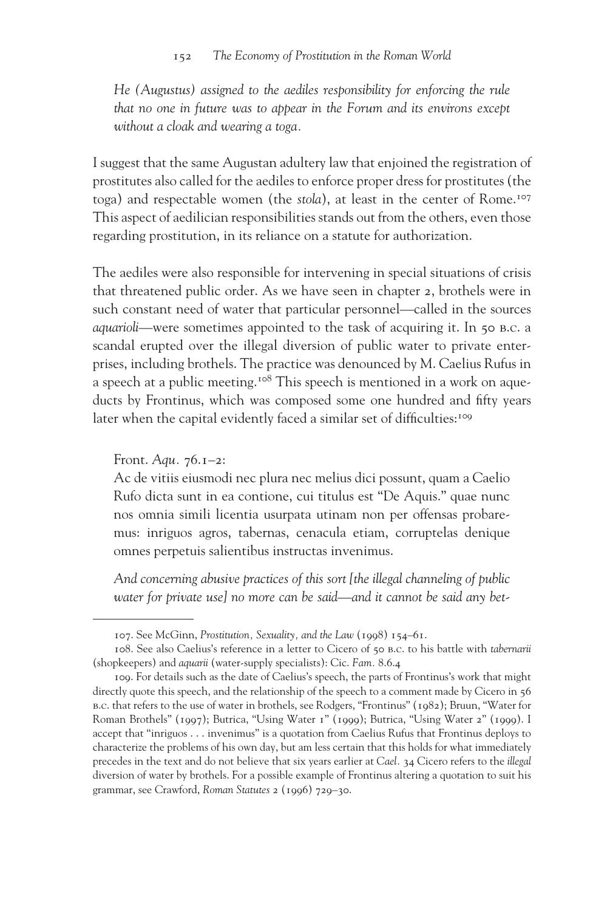*He (Augustus) assigned to the aediles responsibility for enforcing the rule that no one in future was to appear in the Forum and its environs except without a cloak and wearing a toga.* 

I suggest that the same Augustan adultery law that enjoined the registration of prostitutes also called for the aediles to enforce proper dress for prostitutes (the toga) and respectable women (the *stola*), at least in the center of Rome.<sup>107</sup> This aspect of aedilician responsibilities stands out from the others, even those regarding prostitution, in its reliance on a statute for authorization.

The aediles were also responsible for intervening in special situations of crisis that threatened public order. As we have seen in chapter 2, brothels were in such constant need of water that particular personnel—called in the sources *aquarioli*—were sometimes appointed to the task of acquiring it. In 50 b.c. a scandal erupted over the illegal diversion of public water to private enterprises, including brothels. The practice was denounced by M. Caelius Rufus in a speech at a public meeting.<sup>108</sup> This speech is mentioned in a work on aqueducts by Frontinus, which was composed some one hundred and fifty years later when the capital evidently faced a similar set of difficulties:<sup>109</sup>

#### Front. *Aqu.* 76.1–2:

Ac de vitiis eiusmodi nec plura nec melius dici possunt, quam a Caelio Rufo dicta sunt in ea contione, cui titulus est "De Aquis." quae nunc nos omnia simili licentia usurpata utinam non per offensas probaremus: inriguos agros, tabernas, cenacula etiam, corruptelas denique omnes perpetuis salientibus instructas invenimus.

*And concerning abusive practices of this sort [the illegal channeling of public water for private use] no more can be said—and it cannot be said any bet-*

<sup>107.</sup> See McGinn, *Prostitution, Sexuality, and the Law* (1998) 154–61.

<sup>108.</sup> See also Caelius's reference in a letter to Cicero of 50 b.c. to his battle with *tabernarii* (shopkeepers) and *aquarii* (water-supply specialists): Cic. *Fam.* 8.6.4

<sup>109.</sup> For details such as the date of Caelius's speech, the parts of Frontinus's work that might directly quote this speech, and the relationship of the speech to a comment made by Cicero in 56 b.c. that refers to the use of water in brothels, see Rodgers, "Frontinus" (1982); Bruun, "Water for Roman Brothels" (1997); Butrica, "Using Water 1" (1999); Butrica, "Using Water 2" (1999). I accept that "inriguos . . . invenimus" is a quotation from Caelius Rufus that Frontinus deploys to characterize the problems of his own day, but am less certain that this holds for what immediately precedes in the text and do not believe that six years earlier at *Cael.* 34 Cicero refers to the *illegal* diversion of water by brothels. For a possible example of Frontinus altering a quotation to suit his grammar, see Crawford, *Roman Statutes* 2 (1996) 729–30.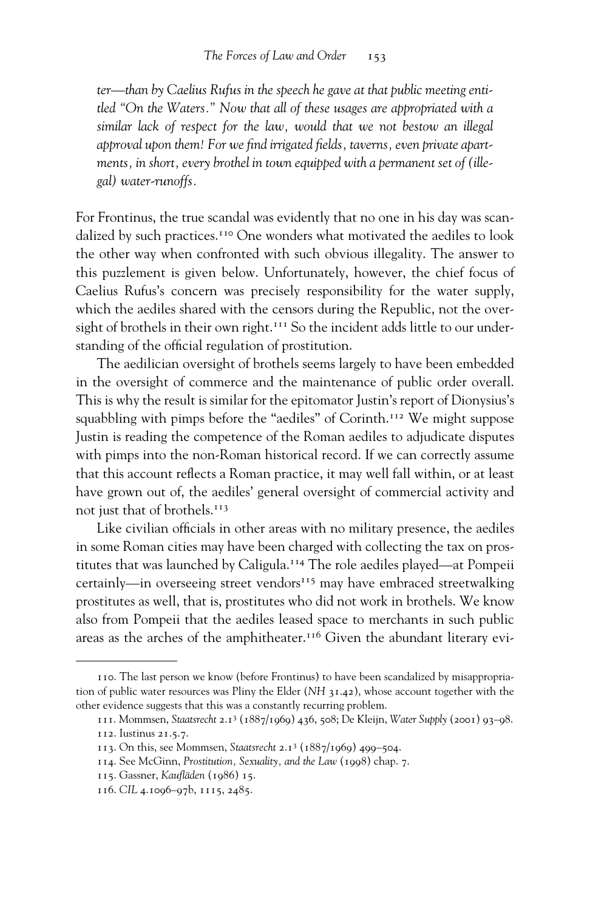*ter—than by Caelius Rufus in the speech he gave at that public meeting entitled "On the Waters." Now that all of these usages are appropriated with a similar lack of respect for the law, would that we not bestow an illegal* approval upon them! For we find irrigated fields, taverns, even private apart*ments, in short, every brothel in town equipped with a permanent set of (illegal) water-runoffs.*

For Frontinus, the true scandal was evidently that no one in his day was scandalized by such practices.<sup>110</sup> One wonders what motivated the aediles to look the other way when confronted with such obvious illegality. The answer to this puzzlement is given below. Unfortunately, however, the chief focus of Caelius Rufus's concern was precisely responsibility for the water supply, which the aediles shared with the censors during the Republic, not the oversight of brothels in their own right.<sup>111</sup> So the incident adds little to our understanding of the official regulation of prostitution.

The aedilician oversight of brothels seems largely to have been embedded in the oversight of commerce and the maintenance of public order overall. This is why the result is similar for the epitomator Justin's report of Dionysius's squabbling with pimps before the "aediles" of Corinth.<sup>112</sup> We might suppose Justin is reading the competence of the Roman aediles to adjudicate disputes with pimps into the non-Roman historical record. If we can correctly assume that this account reflects a Roman practice, it may well fall within, or at least have grown out of, the aediles' general oversight of commercial activity and not just that of brothels.<sup>113</sup>

Like civilian officials in other areas with no military presence, the aediles in some Roman cities may have been charged with collecting the tax on prostitutes that was launched by Caligula.114 The role aediles played—at Pompeii certainly—in overseeing street vendors $115$  may have embraced streetwalking prostitutes as well, that is, prostitutes who did not work in brothels. We know also from Pompeii that the aediles leased space to merchants in such public areas as the arches of the amphitheater.<sup>116</sup> Given the abundant literary evi-

<sup>110.</sup> The last person we know (before Frontinus) to have been scandalized by misappropriation of public water resources was Pliny the Elder (*NH* 31.42), whose account together with the other evidence suggests that this was a constantly recurring problem.

<sup>111.</sup> Mommsen, *Staatsrecht* 2.13 (1887/1969) 436, 508; De Kleijn, *Water Supply* (2001) 93–98.

<sup>112.</sup> Iustinus 21.5.7.

<sup>113.</sup> On this, see Mommsen, *Staatsrecht* 2.13 (1887/1969) 499–504.

<sup>114.</sup> See McGinn, *Prostitution, Sexuality, and the Law* (1998) chap. 7.

<sup>115.</sup> Gassner, *Kau݊den* (1986) 15.

<sup>116.</sup> *CIL* 4.1096–97b, 1115, 2485.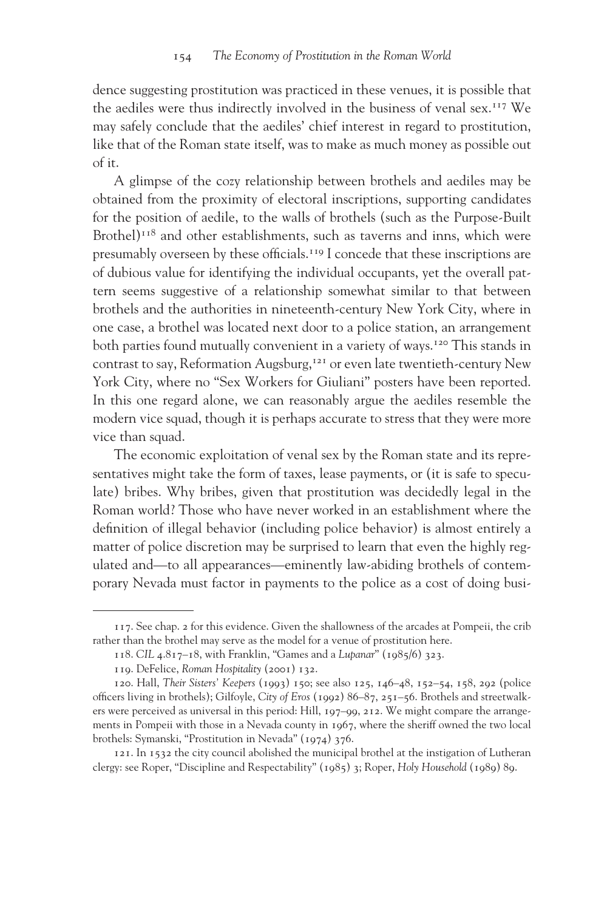dence suggesting prostitution was practiced in these venues, it is possible that the aediles were thus indirectly involved in the business of venal sex.117 We may safely conclude that the aediles' chief interest in regard to prostitution, like that of the Roman state itself, was to make as much money as possible out of it.

A glimpse of the cozy relationship between brothels and aediles may be obtained from the proximity of electoral inscriptions, supporting candidates for the position of aedile, to the walls of brothels (such as the Purpose-Built Brothel)<sup>118</sup> and other establishments, such as taverns and inns, which were presumably overseen by these officials.<sup>119</sup> I concede that these inscriptions are of dubious value for identifying the individual occupants, yet the overall pattern seems suggestive of a relationship somewhat similar to that between brothels and the authorities in nineteenth-century New York City, where in one case, a brothel was located next door to a police station, an arrangement both parties found mutually convenient in a variety of ways.<sup>120</sup> This stands in contrast to say, Reformation Augsburg,<sup>121</sup> or even late twentieth-century New York City, where no "Sex Workers for Giuliani" posters have been reported. In this one regard alone, we can reasonably argue the aediles resemble the modern vice squad, though it is perhaps accurate to stress that they were more vice than squad.

The economic exploitation of venal sex by the Roman state and its representatives might take the form of taxes, lease payments, or (it is safe to speculate) bribes. Why bribes, given that prostitution was decidedly legal in the Roman world? Those who have never worked in an establishment where the definition of illegal behavior (including police behavior) is almost entirely a matter of police discretion may be surprised to learn that even the highly regulated and—to all appearances—eminently law-abiding brothels of contemporary Nevada must factor in payments to the police as a cost of doing busi-

<sup>117.</sup> See chap. 2 for this evidence. Given the shallowness of the arcades at Pompeii, the crib rather than the brothel may serve as the model for a venue of prostitution here.

<sup>118.</sup> *CIL* 4.817–18, with Franklin, "Games and a *Lupanar*" (1985/6) 323.

<sup>119.</sup> DeFelice, *Roman Hospitality* (2001) 132.

<sup>120.</sup> Hall, *Their Sisters' Keepers* (1993) 150; see also 125, 146–48, 152–54, 158, 292 (police officers living in brothels); Gilfoyle, *City of Eros* (1992) 86–87, 251–56. Brothels and streetwalkers were perceived as universal in this period: Hill, 197–99, 212. We might compare the arrangements in Pompeii with those in a Nevada county in 1967, where the sheriff owned the two local brothels: Symanski, "Prostitution in Nevada" (1974) 376.

<sup>121.</sup> In 1532 the city council abolished the municipal brothel at the instigation of Lutheran clergy: see Roper, "Discipline and Respectability" (1985) 3; Roper, *Holy Household* (1989) 89.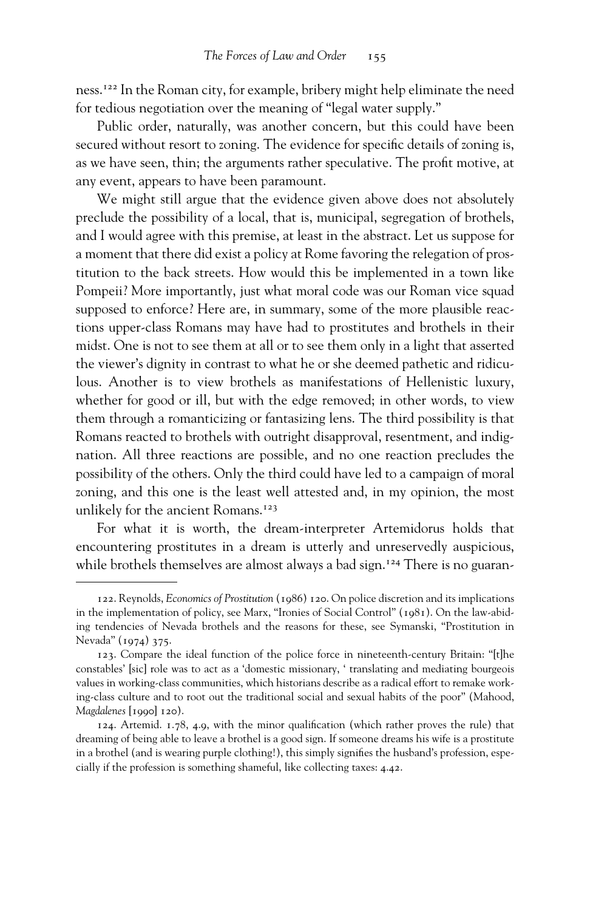ness.122 In the Roman city, for example, bribery might help eliminate the need for tedious negotiation over the meaning of "legal water supply."

Public order, naturally, was another concern, but this could have been secured without resort to zoning. The evidence for specific details of zoning is, as we have seen, thin; the arguments rather speculative. The profit motive, at any event, appears to have been paramount.

We might still argue that the evidence given above does not absolutely preclude the possibility of a local, that is, municipal, segregation of brothels, and I would agree with this premise, at least in the abstract. Let us suppose for a moment that there did exist a policy at Rome favoring the relegation of prostitution to the back streets. How would this be implemented in a town like Pompeii? More importantly, just what moral code was our Roman vice squad supposed to enforce? Here are, in summary, some of the more plausible reactions upper-class Romans may have had to prostitutes and brothels in their midst. One is not to see them at all or to see them only in a light that asserted the viewer's dignity in contrast to what he or she deemed pathetic and ridiculous. Another is to view brothels as manifestations of Hellenistic luxury, whether for good or ill, but with the edge removed; in other words, to view them through a romanticizing or fantasizing lens. The third possibility is that Romans reacted to brothels with outright disapproval, resentment, and indignation. All three reactions are possible, and no one reaction precludes the possibility of the others. Only the third could have led to a campaign of moral zoning, and this one is the least well attested and, in my opinion, the most unlikely for the ancient Romans.<sup>123</sup>

For what it is worth, the dream-interpreter Artemidorus holds that encountering prostitutes in a dream is utterly and unreservedly auspicious, while brothels themselves are almost always a bad sign.<sup>124</sup> There is no guaran-

<sup>122.</sup> Reynolds, *Economics of Prostitution* (1986) 120. On police discretion and its implications in the implementation of policy, see Marx, "Ironies of Social Control" (1981). On the law-abiding tendencies of Nevada brothels and the reasons for these, see Symanski, "Prostitution in Nevada" (1974) 375.

<sup>123.</sup> Compare the ideal function of the police force in nineteenth-century Britain: "[t]he constables' [sic] role was to act as a 'domestic missionary, ' translating and mediating bourgeois values in working-class communities, which historians describe as a radical effort to remake working-class culture and to root out the traditional social and sexual habits of the poor" (Mahood, *Magdalenes* [1990] 120).

<sup>124.</sup> Artemid. 1.78, 4.9, with the minor qualification (which rather proves the rule) that dreaming of being able to leave a brothel is a good sign. If someone dreams his wife is a prostitute in a brothel (and is wearing purple clothing!), this simply signifies the husband's profession, especially if the profession is something shameful, like collecting taxes: 4.42.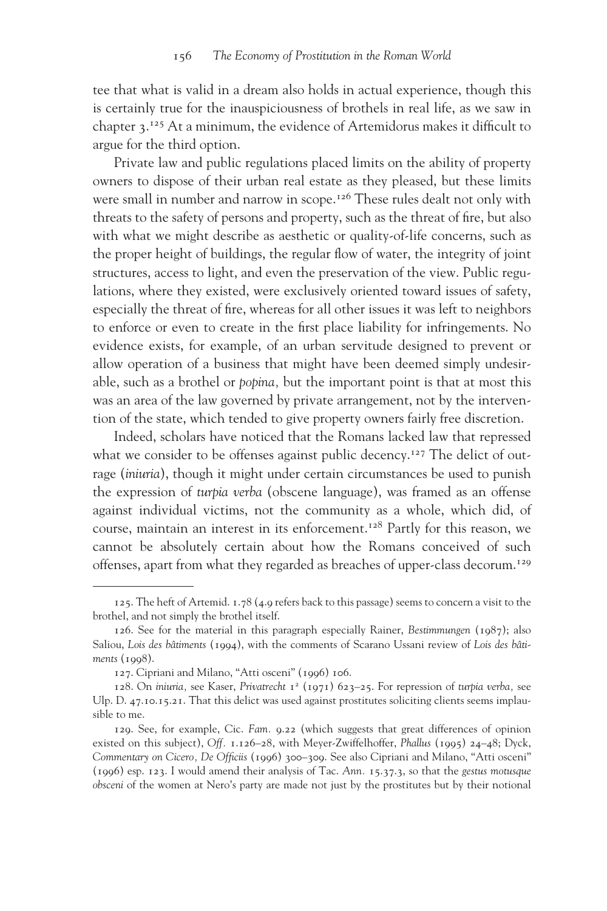tee that what is valid in a dream also holds in actual experience, though this is certainly true for the inauspiciousness of brothels in real life, as we saw in chapter  $3^{125}$  At a minimum, the evidence of Artemidorus makes it difficult to argue for the third option.

Private law and public regulations placed limits on the ability of property owners to dispose of their urban real estate as they pleased, but these limits were small in number and narrow in scope.<sup>126</sup> These rules dealt not only with threats to the safety of persons and property, such as the threat of fire, but also with what we might describe as aesthetic or quality-of-life concerns, such as the proper height of buildings, the regular flow of water, the integrity of joint structures, access to light, and even the preservation of the view. Public regulations, where they existed, were exclusively oriented toward issues of safety, especially the threat of fire, whereas for all other issues it was left to neighbors to enforce or even to create in the first place liability for infringements. No evidence exists, for example, of an urban servitude designed to prevent or allow operation of a business that might have been deemed simply undesirable, such as a brothel or *popina,* but the important point is that at most this was an area of the law governed by private arrangement, not by the intervention of the state, which tended to give property owners fairly free discretion.

Indeed, scholars have noticed that the Romans lacked law that repressed what we consider to be offenses against public decency.<sup>127</sup> The delict of outrage (*iniuria*), though it might under certain circumstances be used to punish the expression of *turpia verba* (obscene language), was framed as an offense against individual victims, not the community as a whole, which did, of course, maintain an interest in its enforcement.<sup>128</sup> Partly for this reason, we cannot be absolutely certain about how the Romans conceived of such offenses, apart from what they regarded as breaches of upper-class decorum.129

<sup>125.</sup> The heft of Artemid. 1.78 (4.9 refers back to this passage) seems to concern a visit to the brothel, and not simply the brothel itself.

<sup>126.</sup> See for the material in this paragraph especially Rainer, *Bestimmungen* (1987); also Saliou, *Lois des bâtiments* (1994), with the comments of Scarano Ussani review of *Lois des bâtiments* (1998).

<sup>127.</sup> Cipriani and Milano, "Atti osceni" (1996) 106.

<sup>128.</sup> On *iniuria,* see Kaser, *Privatrecht* 12 (1971) 623–25. For repression of *turpia verba,* see Ulp. D. 47.10.15.21. That this delict was used against prostitutes soliciting clients seems implausible to me.

<sup>129.</sup> See, for example, Cic. *Fam.* 9.22 (which suggests that great differences of opinion existed on this subject), *Off.* 1.126–28, with Meyer-Zwiffelhoffer, *Phallus* (1995) 24–48; Dyck, Commentary on Cicero, De Officiis (1996) 300-309. See also Cipriani and Milano, "Atti osceni" (1996) esp. 123. I would amend their analysis of Tac. *Ann.* 15.37.3, so that the *gestus motusque obsceni* of the women at Nero's party are made not just by the prostitutes but by their notional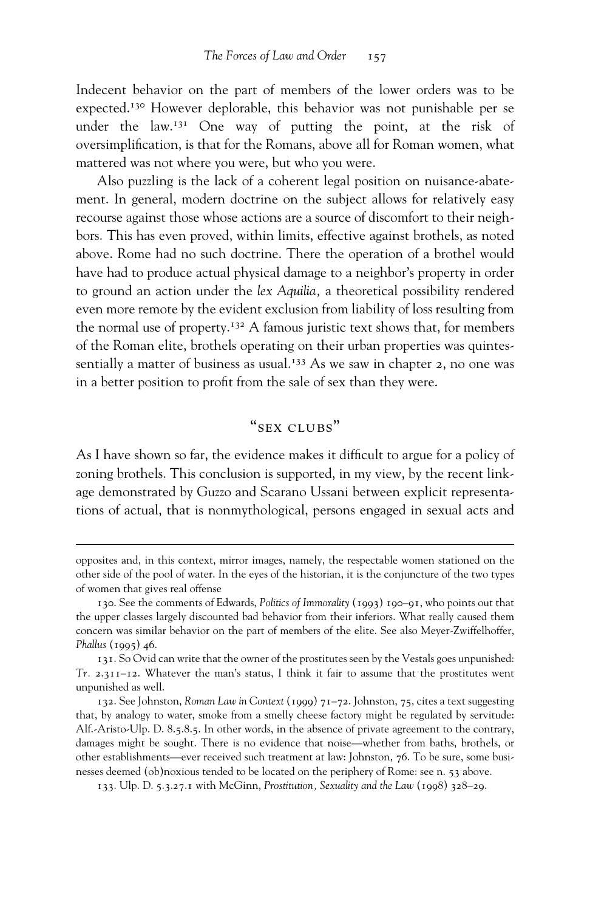Indecent behavior on the part of members of the lower orders was to be expected.130 However deplorable, this behavior was not punishable per se under the law.131 One way of putting the point, at the risk of oversimplification, is that for the Romans, above all for Roman women, what mattered was not where you were, but who you were.

Also puzzling is the lack of a coherent legal position on nuisance-abatement. In general, modern doctrine on the subject allows for relatively easy recourse against those whose actions are a source of discomfort to their neighbors. This has even proved, within limits, effective against brothels, as noted above. Rome had no such doctrine. There the operation of a brothel would have had to produce actual physical damage to a neighbor's property in order to ground an action under the *lex Aquilia,* a theoretical possibility rendered even more remote by the evident exclusion from liability of loss resulting from the normal use of property.<sup>132</sup> A famous juristic text shows that, for members of the Roman elite, brothels operating on their urban properties was quintessentially a matter of business as usual.<sup>133</sup> As we saw in chapter 2, no one was in a better position to profit from the sale of sex than they were.

### $"$ SEX CLUBS"

As I have shown so far, the evidence makes it difficult to argue for a policy of zoning brothels. This conclusion is supported, in my view, by the recent linkage demonstrated by Guzzo and Scarano Ussani between explicit representations of actual, that is nonmythological, persons engaged in sexual acts and

opposites and, in this context, mirror images, namely, the respectable women stationed on the other side of the pool of water. In the eyes of the historian, it is the conjuncture of the two types of women that gives real offense

<sup>130.</sup> See the comments of Edwards, *Politics of Immorality* (1993) 190–91, who points out that the upper classes largely discounted bad behavior from their inferiors. What really caused them concern was similar behavior on the part of members of the elite. See also Meyer-Zwiffelhoffer, *Phallus* (1995) 46.

<sup>131.</sup> So Ovid can write that the owner of the prostitutes seen by the Vestals goes unpunished: *Tr.* 2.311–12. Whatever the man's status, I think it fair to assume that the prostitutes went unpunished as well.

<sup>132.</sup> See Johnston, *Roman Law in Context* (1999) 71–72. Johnston, 75, cites a text suggesting that, by analogy to water, smoke from a smelly cheese factory might be regulated by servitude: Alf.-Aristo-Ulp. D. 8.5.8.5. In other words, in the absence of private agreement to the contrary, damages might be sought. There is no evidence that noise—whether from baths, brothels, or other establishments—ever received such treatment at law: Johnston, 76. To be sure, some businesses deemed (ob)noxious tended to be located on the periphery of Rome: see n. 53 above.

<sup>133.</sup> Ulp. D. 5.3.27.1 with McGinn, *Prostitution, Sexuality and the Law* (1998) 328–29.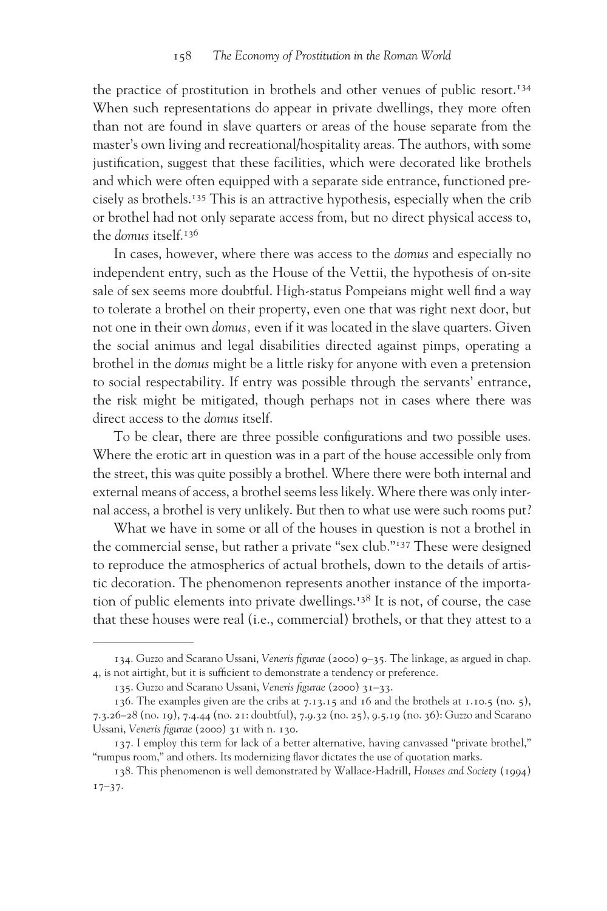the practice of prostitution in brothels and other venues of public resort.<sup>134</sup> When such representations do appear in private dwellings, they more often than not are found in slave quarters or areas of the house separate from the master's own living and recreational/hospitality areas. The authors, with some justification, suggest that these facilities, which were decorated like brothels and which were often equipped with a separate side entrance, functioned precisely as brothels.135 This is an attractive hypothesis, especially when the crib or brothel had not only separate access from, but no direct physical access to, the *domus* itself.136

In cases, however, where there was access to the *domus* and especially no independent entry, such as the House of the Vettii, the hypothesis of on-site sale of sex seems more doubtful. High-status Pompeians might well find a way to tolerate a brothel on their property, even one that was right next door, but not one in their own *domus,* even if it was located in the slave quarters. Given the social animus and legal disabilities directed against pimps, operating a brothel in the *domus* might be a little risky for anyone with even a pretension to social respectability. If entry was possible through the servants' entrance, the risk might be mitigated, though perhaps not in cases where there was direct access to the *domus* itself.

To be clear, there are three possible configurations and two possible uses. Where the erotic art in question was in a part of the house accessible only from the street, this was quite possibly a brothel. Where there were both internal and external means of access, a brothel seems less likely. Where there was only internal access, a brothel is very unlikely. But then to what use were such rooms put?

What we have in some or all of the houses in question is not a brothel in the commercial sense, but rather a private "sex club."137 These were designed to reproduce the atmospherics of actual brothels, down to the details of artistic decoration. The phenomenon represents another instance of the importation of public elements into private dwellings.<sup>138</sup> It is not, of course, the case that these houses were real (i.e., commercial) brothels, or that they attest to a

<sup>134.</sup> Guzzo and Scarano Ussani, *Veneris ‹gurae* (2000) 9–35. The linkage, as argued in chap. 4, is not airtight, but it is sufficient to demonstrate a tendency or preference.

<sup>135.</sup> Guzzo and Scarano Ussani, *Veneris figurae* (2000) 31-33.

<sup>136.</sup> The examples given are the cribs at  $7.13.15$  and 16 and the brothels at 1.10.5 (no. 5), 7.3.26–28 (no. 19), 7.4.44 (no. 21: doubtful), 7.9.32 (no. 25), 9.5.19 (no. 36): Guzzo and Scarano Ussani, *Veneris figurae* (2000) 31 with n. 130.

<sup>137.</sup> I employ this term for lack of a better alternative, having canvassed "private brothel," "rumpus room," and others. Its modernizing flavor dictates the use of quotation marks.

<sup>138.</sup> This phenomenon is well demonstrated by Wallace-Hadrill, *Houses and Society* (1994)  $17 - 37.$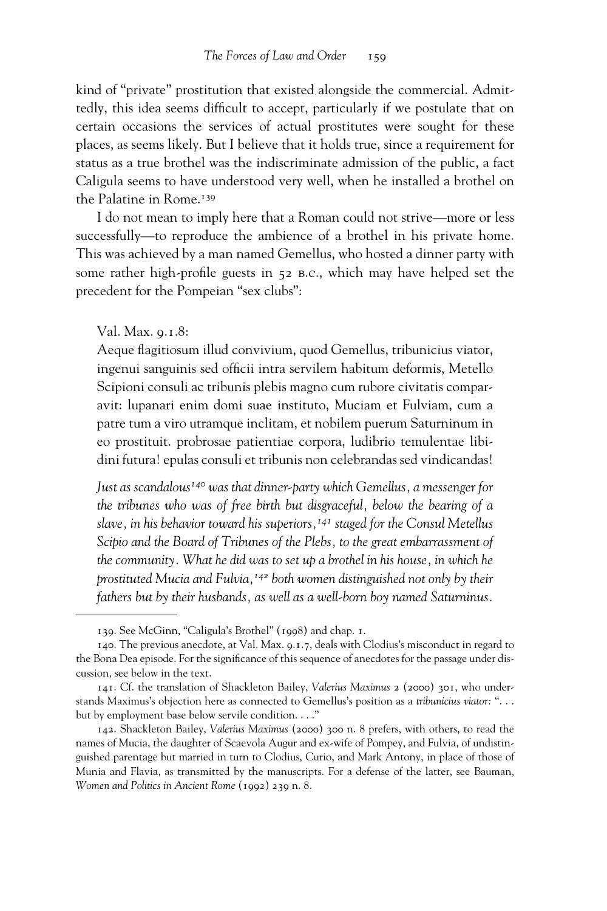kind of "private" prostitution that existed alongside the commercial. Admittedly, this idea seems difficult to accept, particularly if we postulate that on certain occasions the services of actual prostitutes were sought for these places, as seems likely. But I believe that it holds true, since a requirement for status as a true brothel was the indiscriminate admission of the public, a fact Caligula seems to have understood very well, when he installed a brothel on the Palatine in Rome.139

I do not mean to imply here that a Roman could not strive—more or less successfully—to reproduce the ambience of a brothel in his private home. This was achieved by a man named Gemellus, who hosted a dinner party with some rather high-profile guests in 52 B.C., which may have helped set the precedent for the Pompeian "sex clubs":

Val. Max. 9.1.8:

Aeque flagitiosum illud convivium, quod Gemellus, tribunicius viator, ingenui sanguinis sed officii intra servilem habitum deformis, Metello Scipioni consuli ac tribunis plebis magno cum rubore civitatis comparavit: lupanari enim domi suae instituto, Muciam et Fulviam, cum a patre tum a viro utramque inclitam, et nobilem puerum Saturninum in eo prostituit. probrosae patientiae corpora, ludibrio temulentae libidini futura! epulas consuli et tribunis non celebrandas sed vindicandas!

*Just as scandalous140 was that dinner-party which Gemellus, a messenger for the tribunes who was of free birth but disgraceful, below the bearing of a slave, in his behavior toward his superiors,141 staged for the Consul Metellus Scipio and the Board of Tribunes of the Plebs, to the great embarrassment of the community. What he did was to set up a brothel in his house, in which he prostituted Mucia and Fulvia,142 both women distinguished not only by their fathers but by their husbands, as well as a well-born boy named Saturninus.*

<sup>139.</sup> See McGinn, "Caligula's Brothel" (1998) and chap. 1.

<sup>140.</sup> The previous anecdote, at Val. Max. 9.1.7, deals with Clodius's misconduct in regard to the Bona Dea episode. For the significance of this sequence of anecdotes for the passage under discussion, see below in the text.

<sup>141.</sup> Cf. the translation of Shackleton Bailey, *Valerius Maximus* 2 (2000) 301, who understands Maximus's objection here as connected to Gemellus's position as a *tribunicius viator:* ". . . but by employment base below servile condition. . . ."

<sup>142.</sup> Shackleton Bailey, *Valerius Maximus* (2000) 300 n. 8 prefers, with others, to read the names of Mucia, the daughter of Scaevola Augur and ex-wife of Pompey, and Fulvia, of undistinguished parentage but married in turn to Clodius, Curio, and Mark Antony, in place of those of Munia and Flavia, as transmitted by the manuscripts. For a defense of the latter, see Bauman, *Women and Politics in Ancient Rome* (1992) 239 n. 8.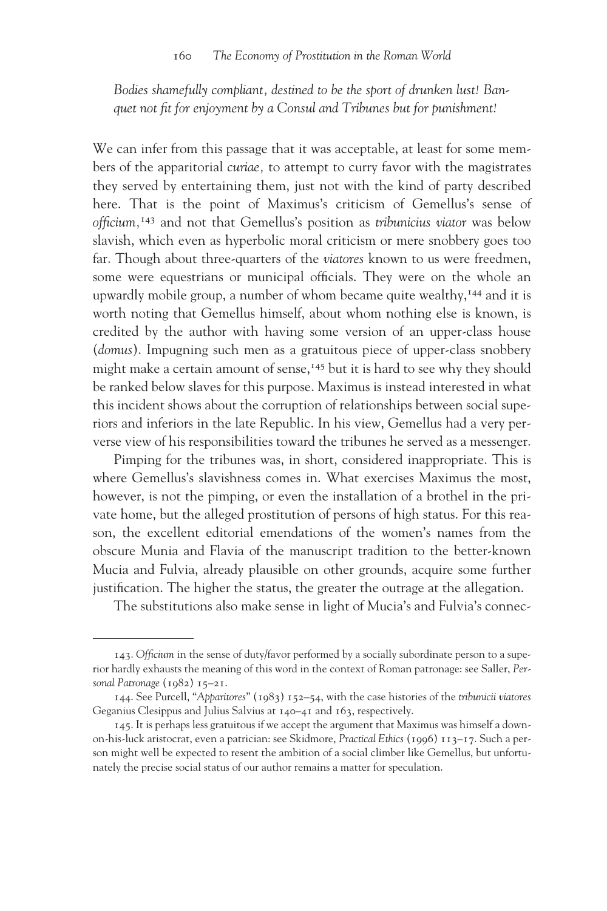*Bodies shamefully compliant, destined to be the sport of drunken lust! Banquet not fit for enjoyment by a Consul and Tribunes but for punishment!* 

We can infer from this passage that it was acceptable, at least for some members of the apparitorial *curiae,* to attempt to curry favor with the magistrates they served by entertaining them, just not with the kind of party described here. That is the point of Maximus's criticism of Gemellus's sense of *officium*,<sup>143</sup> and not that Gemellus's position as *tribunicius viator* was below slavish, which even as hyperbolic moral criticism or mere snobbery goes too far. Though about three-quarters of the *viatores* known to us were freedmen, some were equestrians or municipal officials. They were on the whole an upwardly mobile group, a number of whom became quite wealthy,<sup>144</sup> and it is worth noting that Gemellus himself, about whom nothing else is known, is credited by the author with having some version of an upper-class house (*domus*). Impugning such men as a gratuitous piece of upper-class snobbery might make a certain amount of sense,<sup>145</sup> but it is hard to see why they should be ranked below slaves for this purpose. Maximus is instead interested in what this incident shows about the corruption of relationships between social superiors and inferiors in the late Republic. In his view, Gemellus had a very perverse view of his responsibilities toward the tribunes he served as a messenger.

Pimping for the tribunes was, in short, considered inappropriate. This is where Gemellus's slavishness comes in. What exercises Maximus the most, however, is not the pimping, or even the installation of a brothel in the private home, but the alleged prostitution of persons of high status. For this reason, the excellent editorial emendations of the women's names from the obscure Munia and Flavia of the manuscript tradition to the better-known Mucia and Fulvia, already plausible on other grounds, acquire some further justification. The higher the status, the greater the outrage at the allegation.

The substitutions also make sense in light of Mucia's and Fulvia's connec-

<sup>143.</sup> Officium in the sense of duty/favor performed by a socially subordinate person to a superior hardly exhausts the meaning of this word in the context of Roman patronage: see Saller, *Personal Patronage* (1982) 15–21.

<sup>144.</sup> See Purcell, "*Apparitores*" (1983) 152–54, with the case histories of the *tribunicii viatores* Geganius Clesippus and Julius Salvius at 140–41 and 163, respectively.

<sup>145.</sup> It is perhaps less gratuitous if we accept the argument that Maximus was himself a downon-his-luck aristocrat, even a patrician: see Skidmore, *Practical Ethics* (1996) 113–17. Such a person might well be expected to resent the ambition of a social climber like Gemellus, but unfortunately the precise social status of our author remains a matter for speculation.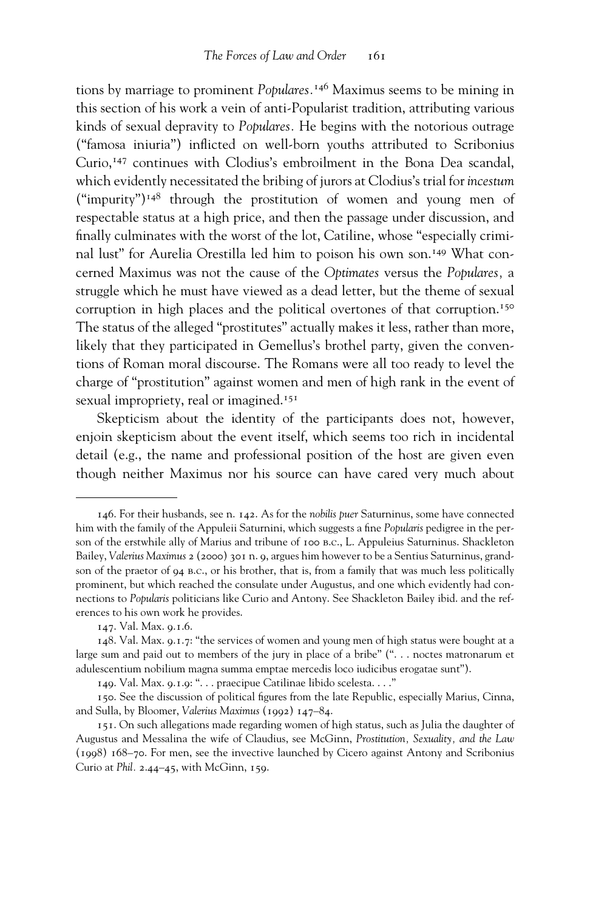tions by marriage to prominent *Populares.*<sup>146</sup> Maximus seems to be mining in this section of his work a vein of anti-Popularist tradition, attributing various kinds of sexual depravity to *Populares.* He begins with the notorious outrage ("famosa iniuria") inflicted on well-born youths attributed to Scribonius Curio,<sup>147</sup> continues with Clodius's embroilment in the Bona Dea scandal, which evidently necessitated the bribing of jurors at Clodius's trial for *incestum*  $("impurity")<sup>148</sup>$  through the prostitution of women and young men of respectable status at a high price, and then the passage under discussion, and finally culminates with the worst of the lot, Catiline, whose "especially criminal lust" for Aurelia Orestilla led him to poison his own son.149 What concerned Maximus was not the cause of the *Optimates* versus the *Populares,* a struggle which he must have viewed as a dead letter, but the theme of sexual corruption in high places and the political overtones of that corruption.<sup>150</sup> The status of the alleged "prostitutes" actually makes it less, rather than more, likely that they participated in Gemellus's brothel party, given the conventions of Roman moral discourse. The Romans were all too ready to level the charge of "prostitution" against women and men of high rank in the event of sexual impropriety, real or imagined.<sup>151</sup>

Skepticism about the identity of the participants does not, however, enjoin skepticism about the event itself, which seems too rich in incidental detail (e.g., the name and professional position of the host are given even though neither Maximus nor his source can have cared very much about

<sup>146.</sup> For their husbands, see n. 142. As for the *nobilis puer* Saturninus, some have connected him with the family of the Appuleii Saturnini, which suggests a fine *Popularis* pedigree in the person of the erstwhile ally of Marius and tribune of 100 b.c., L. Appuleius Saturninus. Shackleton Bailey, *Valerius Maximus* 2 (2000) 301 n. 9, argues him however to be a Sentius Saturninus, grandson of the praetor of  $q_4$  b.c., or his brother, that is, from a family that was much less politically prominent, but which reached the consulate under Augustus, and one which evidently had connections to *Popularis* politicians like Curio and Antony. See Shackleton Bailey ibid. and the references to his own work he provides.

<sup>147.</sup> Val. Max. 9.1.6.

<sup>148.</sup> Val. Max. 9.1.7: "the services of women and young men of high status were bought at a large sum and paid out to members of the jury in place of a bribe" (". . . noctes matronarum et adulescentium nobilium magna summa emptae mercedis loco iudicibus erogatae sunt").

<sup>149.</sup> Val. Max. 9.1.9: ". . . praecipue Catilinae libido scelesta. . . ."

<sup>150.</sup> See the discussion of political figures from the late Republic, especially Marius, Cinna, and Sulla, by Bloomer, *Valerius Maximus* (1992) 147–84.

<sup>151.</sup> On such allegations made regarding women of high status, such as Julia the daughter of Augustus and Messalina the wife of Claudius, see McGinn, *Prostitution, Sexuality, and the Law* (1998) 168–70. For men, see the invective launched by Cicero against Antony and Scribonius Curio at *Phil.* 2.44–45, with McGinn, 159.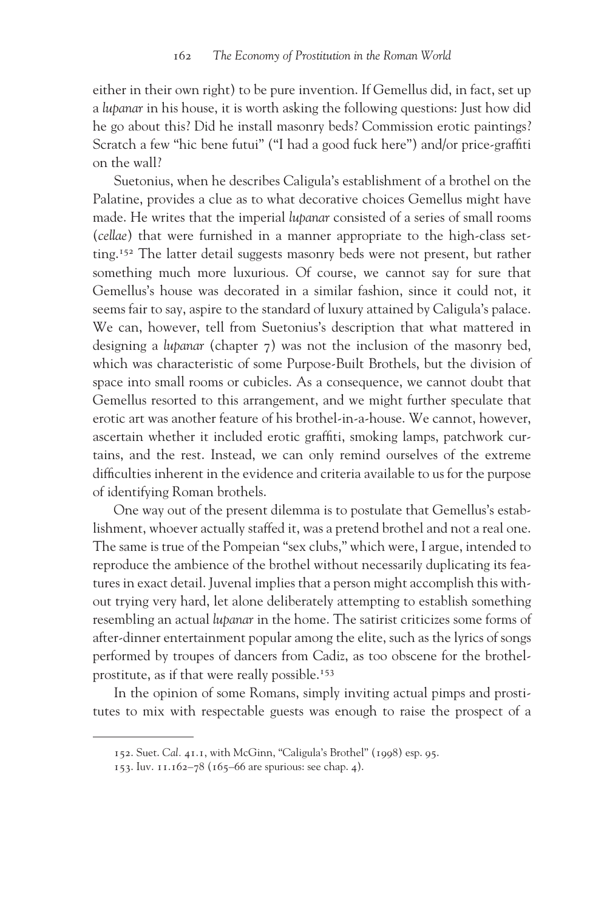either in their own right) to be pure invention. If Gemellus did, in fact, set up a *lupanar* in his house, it is worth asking the following questions: Just how did he go about this? Did he install masonry beds? Commission erotic paintings? Scratch a few "hic bene futui" ("I had a good fuck here") and/or price-graffiti on the wall?

Suetonius, when he describes Caligula's establishment of a brothel on the Palatine, provides a clue as to what decorative choices Gemellus might have made. He writes that the imperial *lupanar* consisted of a series of small rooms (*cellae*) that were furnished in a manner appropriate to the high-class setting.152 The latter detail suggests masonry beds were not present, but rather something much more luxurious. Of course, we cannot say for sure that Gemellus's house was decorated in a similar fashion, since it could not, it seems fair to say, aspire to the standard of luxury attained by Caligula's palace. We can, however, tell from Suetonius's description that what mattered in designing a *lupanar* (chapter 7) was not the inclusion of the masonry bed, which was characteristic of some Purpose-Built Brothels, but the division of space into small rooms or cubicles. As a consequence, we cannot doubt that Gemellus resorted to this arrangement, and we might further speculate that erotic art was another feature of his brothel-in-a-house. We cannot, however, ascertain whether it included erotic graffiti, smoking lamps, patchwork curtains, and the rest. Instead, we can only remind ourselves of the extreme difficulties inherent in the evidence and criteria available to us for the purpose of identifying Roman brothels.

One way out of the present dilemma is to postulate that Gemellus's establishment, whoever actually staffed it, was a pretend brothel and not a real one. The same is true of the Pompeian "sex clubs," which were, I argue, intended to reproduce the ambience of the brothel without necessarily duplicating its features in exact detail. Juvenal implies that a person might accomplish this without trying very hard, let alone deliberately attempting to establish something resembling an actual *lupanar* in the home. The satirist criticizes some forms of after-dinner entertainment popular among the elite, such as the lyrics of songs performed by troupes of dancers from Cadiz, as too obscene for the brothelprostitute, as if that were really possible.153

In the opinion of some Romans, simply inviting actual pimps and prostitutes to mix with respectable guests was enough to raise the prospect of a

<sup>152.</sup> Suet. *Cal.* 41.1, with McGinn, "Caligula's Brothel" (1998) esp. 95.

<sup>153.</sup> Iuv. 11.162–78 (165–66 are spurious: see chap. 4).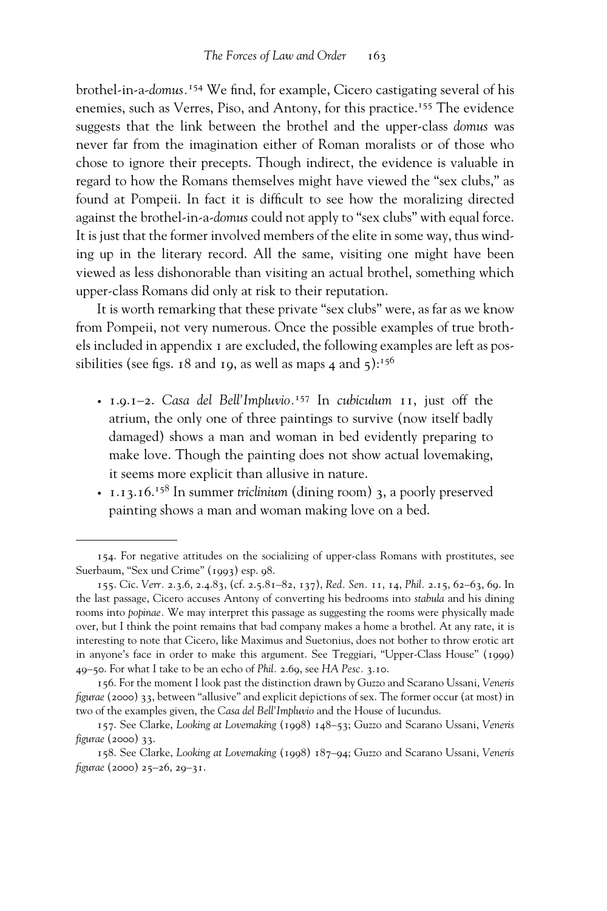brothel-in-a-domus.<sup>154</sup> We find, for example, Cicero castigating several of his enemies, such as Verres, Piso, and Antony, for this practice.155 The evidence suggests that the link between the brothel and the upper-class *domus* was never far from the imagination either of Roman moralists or of those who chose to ignore their precepts. Though indirect, the evidence is valuable in regard to how the Romans themselves might have viewed the "sex clubs," as found at Pompeii. In fact it is difficult to see how the moralizing directed against the brothel-in-a*-domus* could not apply to "sex clubs" with equal force. It is just that the former involved members of the elite in some way, thus winding up in the literary record. All the same, visiting one might have been viewed as less dishonorable than visiting an actual brothel, something which upper-class Romans did only at risk to their reputation.

It is worth remarking that these private "sex clubs" were, as far as we know from Pompeii, not very numerous. Once the possible examples of true brothels included in appendix 1 are excluded, the following examples are left as possibilities (see figs. 18 and 19, as well as maps 4 and  $5$ ):<sup>156</sup>

- 1.9.1–2. *Casa del Bell'Impluvio.*<sup>157</sup> In *cubiculum* 11, just off the atrium, the only one of three paintings to survive (now itself badly damaged) shows a man and woman in bed evidently preparing to make love. Though the painting does not show actual lovemaking, it seems more explicit than allusive in nature.
- 1.13.16.158 In summer *triclinium* (dining room) 3, a poorly preserved painting shows a man and woman making love on a bed.

<sup>154.</sup> For negative attitudes on the socializing of upper-class Romans with prostitutes, see Suerbaum, "Sex und Crime" (1993) esp. 98.

<sup>155.</sup> Cic. *Verr.* 2.3.6, 2.4.83, (cf. 2.5.81–82, 137), *Red. Sen.* 11, 14, *Phil.* 2.15, 62–63, 69. In the last passage, Cicero accuses Antony of converting his bedrooms into *stabula* and his dining rooms into *popinae.* We may interpret this passage as suggesting the rooms were physically made over, but I think the point remains that bad company makes a home a brothel. At any rate, it is interesting to note that Cicero, like Maximus and Suetonius, does not bother to throw erotic art in anyone's face in order to make this argument. See Treggiari, "Upper-Class House" (1999) 49–50. For what I take to be an echo of *Phil.* 2.69, see *HA Pesc.* 3.10.

<sup>156.</sup> For the moment I look past the distinction drawn by Guzzo and Scarano Ussani, *Veneris figurae* (2000) 33, between "allusive" and explicit depictions of sex. The former occur (at most) in two of the examples given, the *Casa del Bell'Impluvio* and the House of Iucundus.

<sup>157.</sup> See Clarke, *Looking at Lovemaking* (1998) 148–53; Guzzo and Scarano Ussani, *Veneris figurae* (2000) 33.

<sup>158.</sup> See Clarke, *Looking at Lovemaking* (1998) 187–94; Guzzo and Scarano Ussani, *Veneris ‹gurae* (2000) 25–26, 29–31.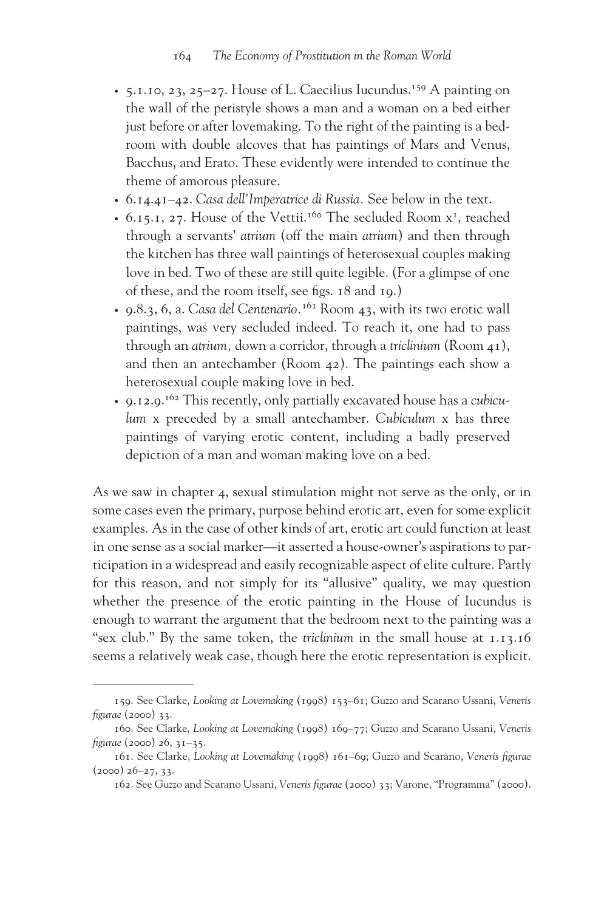- $5.1.10$ ,  $23$ ,  $25-27$ . House of L. Caecilius Iucundus.<sup>159</sup> A painting on the wall of the peristyle shows a man and a woman on a bed either just before or after lovemaking. To the right of the painting is a bedroom with double alcoves that has paintings of Mars and Venus, Bacchus, and Erato. These evidently were intended to continue the theme of amorous pleasure.
- 6.14.41–42. *Casa dell'Imperatrice di Russia.* See below in the text.
- 6.15.1, 27. House of the Vettii.<sup>160</sup> The secluded Room  $x^1$ , reached through a servants' *atrium* (off the main *atrium*) and then through the kitchen has three wall paintings of heterosexual couples making love in bed. Two of these are still quite legible. (For a glimpse of one of these, and the room itself, see figs. 18 and 19.)
- 9.8.3, 6, a. *Casa del Centenario.*<sup>161</sup> Room 43, with its two erotic wall paintings, was very secluded indeed. To reach it, one had to pass through an *atrium,* down a corridor, through a *triclinium* (Room 41), and then an antechamber (Room 42). The paintings each show a heterosexual couple making love in bed.
- 9.12.9.162 This recently, only partially excavated house has a *cubiculum* x preceded by a small antechamber. *Cubiculum* x has three paintings of varying erotic content, including a badly preserved depiction of a man and woman making love on a bed.

As we saw in chapter 4, sexual stimulation might not serve as the only, or in some cases even the primary, purpose behind erotic art, even for some explicit examples. As in the case of other kinds of art, erotic art could function at least in one sense as a social marker—it asserted a house-owner's aspirations to participation in a widespread and easily recognizable aspect of elite culture. Partly for this reason, and not simply for its "allusive" quality, we may question whether the presence of the erotic painting in the House of Iucundus is enough to warrant the argument that the bedroom next to the painting was a "sex club." By the same token, the *triclinium* in the small house at 1.13.16 seems a relatively weak case, though here the erotic representation is explicit.

<sup>159.</sup> See Clarke, *Looking at Lovemaking* (1998) 153–61; Guzzo and Scarano Ussani, *Veneris ‹gurae* (2000) 33.

<sup>160.</sup> See Clarke, *Looking at Lovemaking* (1998) 169–77; Guzzo and Scarano Ussani, *Veneris ‹gurae* (2000) 26, 31–35.

<sup>161.</sup> See Clarke, *Looking at Lovemaking* (1998) 161–69; Guzzo and Scarano, *Veneris ‹gurae*  $(2000)$   $26 - 27, 33$ .

<sup>162.</sup> See Guzzo and Scarano Ussani, Veneris figurae (2000) 33; Varone, "Programma" (2000).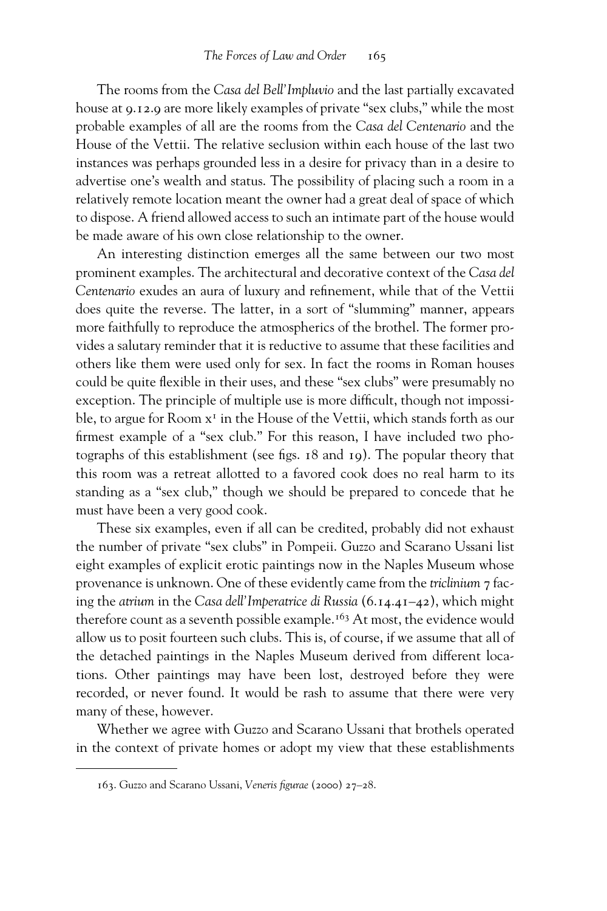The rooms from the *Casa del Bell'Impluvio* and the last partially excavated house at 9.12.9 are more likely examples of private "sex clubs," while the most probable examples of all are the rooms from the *Casa del Centenario* and the House of the Vettii. The relative seclusion within each house of the last two instances was perhaps grounded less in a desire for privacy than in a desire to advertise one's wealth and status. The possibility of placing such a room in a relatively remote location meant the owner had a great deal of space of which to dispose. A friend allowed access to such an intimate part of the house would be made aware of his own close relationship to the owner.

An interesting distinction emerges all the same between our two most prominent examples. The architectural and decorative context of the *Casa del Centenario* exudes an aura of luxury and refinement, while that of the Vettii does quite the reverse. The latter, in a sort of "slumming" manner, appears more faithfully to reproduce the atmospherics of the brothel. The former provides a salutary reminder that it is reductive to assume that these facilities and others like them were used only for sex. In fact the rooms in Roman houses could be quite flexible in their uses, and these "sex clubs" were presumably no exception. The principle of multiple use is more difficult, though not impossible, to argue for Room  $x^1$  in the House of the Vettii, which stands forth as our firmest example of a "sex club." For this reason, I have included two photographs of this establishment (see figs.  $18$  and  $19$ ). The popular theory that this room was a retreat allotted to a favored cook does no real harm to its standing as a "sex club," though we should be prepared to concede that he must have been a very good cook.

These six examples, even if all can be credited, probably did not exhaust the number of private "sex clubs" in Pompeii. Guzzo and Scarano Ussani list eight examples of explicit erotic paintings now in the Naples Museum whose provenance is unknown. One of these evidently came from the *triclinium* 7 facing the *atrium* in the *Casa dell'Imperatrice di Russia* (6.14.41–42), which might therefore count as a seventh possible example.<sup>163</sup> At most, the evidence would allow us to posit fourteen such clubs. This is, of course, if we assume that all of the detached paintings in the Naples Museum derived from different locations. Other paintings may have been lost, destroyed before they were recorded, or never found. It would be rash to assume that there were very many of these, however.

Whether we agree with Guzzo and Scarano Ussani that brothels operated in the context of private homes or adopt my view that these establishments

<sup>163.</sup> Guzzo and Scarano Ussani, *Veneris figurae* (2000) 27-28.